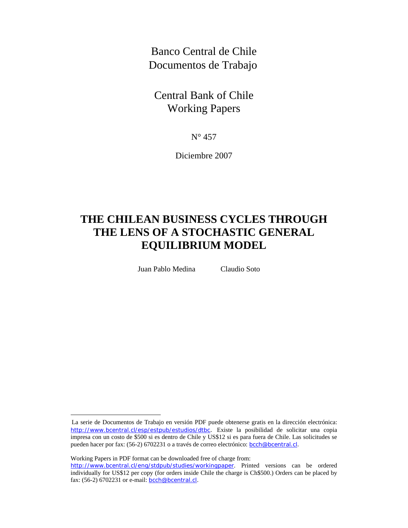Banco Central de Chile Documentos de Trabajo

# Central Bank of Chile Working Papers

N° 457

Diciembre 2007

# **THE CHILEAN BUSINESS CYCLES THROUGH THE LENS OF A STOCHASTIC GENERAL EQUILIBRIUM MODEL**

Juan Pablo Medina Claudio Soto

 $\overline{a}$ 

La serie de Documentos de Trabajo en versión PDF puede obtenerse gratis en la dirección electrónica: http://www.bcentral.cl/esp/estpub/estudios/dtbc. Existe la posibilidad de solicitar una copia impresa con un costo de \$500 si es dentro de Chile y US\$12 si es para fuera de Chile. Las solicitudes se pueden hacer por fax: (56-2) 6702231 o a través de correo electrónico: **bcch@bcentral.cl**.

Working Papers in PDF format can be downloaded free of charge from:

http://www.bcentral.cl/eng/stdpub/studies/workingpaper. Printed versions can be ordered individually for US\$12 per copy (for orders inside Chile the charge is Ch\$500.) Orders can be placed by fax: (56-2) 6702231 or e-mail: **bcch@bcentral.cl**.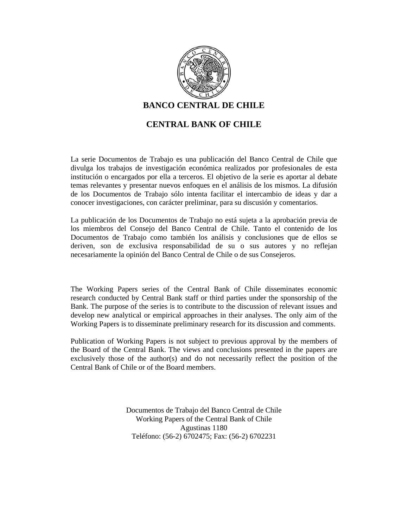

**BANCO CENTRAL DE CHILE** 

## **CENTRAL BANK OF CHILE**

La serie Documentos de Trabajo es una publicación del Banco Central de Chile que divulga los trabajos de investigación económica realizados por profesionales de esta institución o encargados por ella a terceros. El objetivo de la serie es aportar al debate temas relevantes y presentar nuevos enfoques en el análisis de los mismos. La difusión de los Documentos de Trabajo sólo intenta facilitar el intercambio de ideas y dar a conocer investigaciones, con carácter preliminar, para su discusión y comentarios.

La publicación de los Documentos de Trabajo no está sujeta a la aprobación previa de los miembros del Consejo del Banco Central de Chile. Tanto el contenido de los Documentos de Trabajo como también los análisis y conclusiones que de ellos se deriven, son de exclusiva responsabilidad de su o sus autores y no reflejan necesariamente la opinión del Banco Central de Chile o de sus Consejeros.

The Working Papers series of the Central Bank of Chile disseminates economic research conducted by Central Bank staff or third parties under the sponsorship of the Bank. The purpose of the series is to contribute to the discussion of relevant issues and develop new analytical or empirical approaches in their analyses. The only aim of the Working Papers is to disseminate preliminary research for its discussion and comments.

Publication of Working Papers is not subject to previous approval by the members of the Board of the Central Bank. The views and conclusions presented in the papers are exclusively those of the author(s) and do not necessarily reflect the position of the Central Bank of Chile or of the Board members.

> Documentos de Trabajo del Banco Central de Chile Working Papers of the Central Bank of Chile Agustinas 1180 Teléfono: (56-2) 6702475; Fax: (56-2) 6702231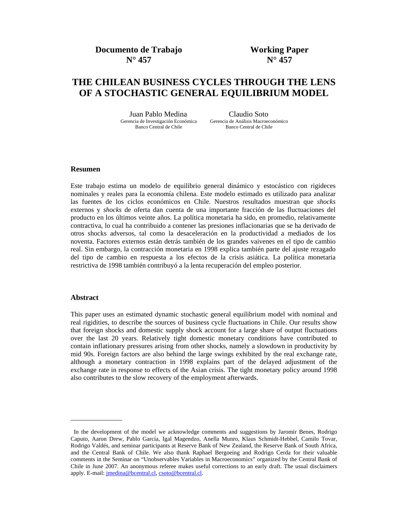### **Documento de Trabajo Working Paper N° 457 N° 457**

## **THE CHILEAN BUSINESS CYCLES THROUGH THE LENS OF A STOCHASTIC GENERAL EQUILIBRIUM MODEL**

Juan Pablo Medina Claudio Soto Gerencia de Investigación Económica Banco Central de Chile

Gerencia de Análisis Macroeconómico Banco Central de Chile

#### **Resumen**

Este trabajo estima un modelo de equilibrio general dinámico y estocástico con rigideces nominales y reales para la economía chilena. Este modelo estimado es utilizado para analizar las fuentes de los ciclos económicos en Chile. Nuestros resultados muestran que *shocks*  externos y *shocks* de oferta dan cuenta de una importante fracción de las fluctuaciones del producto en los últimos veinte años. La política monetaria ha sido, en promedio, relativamente contractiva, lo cual ha contribuido a contener las presiones inflacionarias que se ha derivado de otros shocks adversos, tal como la desaceleración en la productividad a mediados de los noventa. Factores externos están detrás también de los grandes vaivenes en el tipo de cambio real. Sin embargo, la contracción monetaria en 1998 explica también parte del ajuste rezagado del tipo de cambio en respuesta a los efectos de la crisis asiática. La política monetaria restrictiva de 1998 también contribuyó a la lenta recuperación del empleo posterior.

#### **Abstract**

\_\_\_\_\_\_\_\_\_\_\_\_\_\_\_

This paper uses an estimated dynamic stochastic general equilibrium model with nominal and real rigidities, to describe the sources of business cycle fluctuations in Chile. Our results show that foreign shocks and domestic supply shock account for a large share of output fluctuations over the last 20 years. Relatively tight domestic monetary conditions have contributed to contain inflationary pressures arising from other shocks, namely a slowdown in productivity by mid 90s. Foreign factors are also behind the large swings exhibited by the real exchange rate, although a monetary contraction in 1998 explains part of the delayed adjustment of the exchange rate in response to effects of the Asian crisis. The tight monetary policy around 1998 also contributes to the slow recovery of the employment afterwards.

In the development of the model we acknowledge comments and suggestions by Jaromir Benes, Rodrigo Caputo, Aaron Drew, Pablo García, Igal Magendzo, Anella Munro, Klaus Schmidt-Hebbel, Camilo Tovar, Rodrigo Valdés, and seminar participants at Reserve Bank of New Zealand, the Reserve Bank of South Africa, and the Central Bank of Chile. We also thank Raphael Bergoeing and Rodrigo Cerda for their valuable comments in the Seminar on "Unobservables Variables in Macroeconomics" organized by the Central Bank of Chile in June 2007. An anonymous referee makes useful corrections to an early draft. The usual disclaimers apply. E-mail: jmedina@bcentral.cl, csoto@bcentral.cl.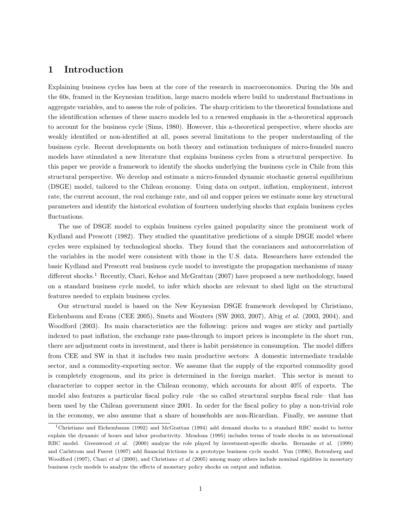## **1 Introduction**

Explaining business cycles has been at the core of the research in macroeconomics. During the 50s and the 60s, framed in the Keynesian tradition, large macro models where build to understand fluctuations in aggregate variables, and to assess the role of policies. The sharp criticism to the theoretical foundations and the identification schemes of these macro models led to a renewed emphasis in the a-theoretical approach to account for the business cycle (Sims, 1980). However, this a-theoretical perspective, where shocks are weakly identified or non-identified at all, poses several limitations to the proper understanding of the business cycle. Recent developments on both theory and estimation techniques of micro-founded macro models have stimulated a new literature that explains business cycles from a structural perspective. In this paper we provide a framework to identify the shocks underlying the business cycle in Chile from this structural perspective. We develop and estimate a micro-founded dynamic stochastic general equilibrium (DSGE) model, tailored to the Chilean economy. Using data on output, inflation, employment, interest rate, the current account, the real exchange rate, and oil and copper prices we estimate some key structural parameters and identify the historical evolution of fourteen underlying shocks that explain business cycles fluctuations.

The use of DSGE model to explain business cycles gained popularity since the prominent work of Kydland and Prescott (1982). They studied the quantitative predictions of a simple DSGE model where cycles were explained by technological shocks. They found that the covariances and autocorrelation of the variables in the model were consistent with those in the U.S. data. Researchers have extended the basic Kydland and Prescott real business cycle model to investigate the propagation mechanisms of many different shocks.<sup>1</sup> Recently, Chari, Kehoe and McGrattan (2007) have proposed a new methodology, based on a standard business cycle model, to infer which shocks are relevant to shed light on the structural features needed to explain business cycles.

Our structural model is based on the New Keynesian DSGE framework developed by Christiano, Eichenbaum and Evans (CEE 2005), Smets and Wouters (SW 2003, 2007), Altig et al. (2003, 2004), and Woodford (2003). Its main characteristics are the following: prices and wages are sticky and partially indexed to past inflation, the exchange rate pass-through to import prices is incomplete in the short run, there are adjustment costs in investment, and there is habit persistence in consumption. The model differs from CEE and SW in that it includes two main productive sectors: A domestic intermediate tradable sector, and a commodity-exporting sector. We assume that the supply of the exported commodity good is completely exogenous, and its price is determined in the foreign market. This sector is meant to characterize to copper sector in the Chilean economy, which accounts for about 40% of exports. The model also features a particular fiscal policy rule –the so called structural surplus fiscal rule– that has been used by the Chilean government since 2001. In order for the fiscal policy to play a non-trivial role in the economy, we also assume that a share of households are non-Ricardian. Finally, we assume that

<sup>1</sup>Christiano and Eichembaum (1992) and McGrattan (1994) add demand shocks to a standard RBC model to better explain the dynamic of hours and labor productivity. Mendoza (1995) includes terms of trade shocks in an international RBC model. Greenwood et al. (2000) analyze the role played by investment-specific shocks. Bernanke et al. (1999) and Carlstrom and Fuerst (1997) add financial frictions in a prototype business cycle model. Yun (1996), Rotemberg and Woodford (1997), Chari et al (2000), and Christiano et al (2005) among many others include nominal rigidities in monetary business cycle models to analyze the effects of monetary policy shocks on output and inflation.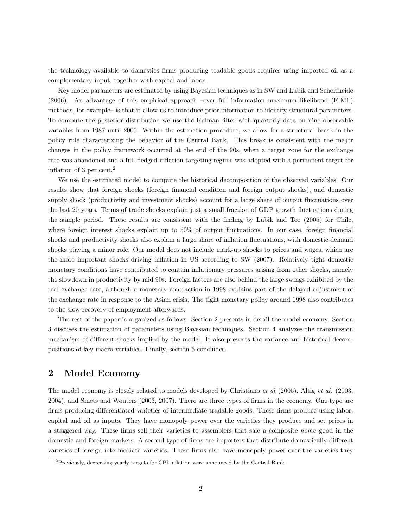the technology available to domestics firms producing tradable goods requires using imported oil as a complementary input, together with capital and labor.

Key model parameters are estimated by using Bayesian techniques as in SW and Lubik and Schorfheide (2006). An advantage of this empirical approach –over full information maximum likelihood (FIML) methods, for example– is that it allow us to introduce prior information to identify structural parameters. To compute the posterior distribution we use the Kalman filter with quarterly data on nine observable variables from 1987 until 2005. Within the estimation procedure, we allow for a structural break in the policy rule characterizing the behavior of the Central Bank. This break is consistent with the major changes in the policy framework occurred at the end of the 90s, when a target zone for the exchange rate was abandoned and a full-fledged inflation targeting regime was adopted with a permanent target for inflation of 3 per cent.<sup>2</sup>

We use the estimated model to compute the historical decomposition of the observed variables. Our results show that foreign shocks (foreign financial condition and foreign output shocks), and domestic supply shock (productivity and investment shocks) account for a large share of output fluctuations over the last 20 years. Terms of trade shocks explain just a small fraction of GDP growth fluctuations during the sample period. These results are consistent with the finding by Lubik and Teo (2005) for Chile, where foreign interest shocks explain up to 50% of output fluctuations. In our case, foreign financial shocks and productivity shocks also explain a large share of inflation fluctuations, with domestic demand shocks playing a minor role. Our model does not include mark-up shocks to prices and wages, which are the more important shocks driving inflation in US according to SW (2007). Relatively tight domestic monetary conditions have contributed to contain inflationary pressures arising from other shocks, namely the slowdown in productivity by mid 90s. Foreign factors are also behind the large swings exhibited by the real exchange rate, although a monetary contraction in 1998 explains part of the delayed adjustment of the exchange rate in response to the Asian crisis. The tight monetary policy around 1998 also contributes to the slow recovery of employment afterwards.

The rest of the paper is organized as follows: Section 2 presents in detail the model economy. Section 3 discuses the estimation of parameters using Bayesian techniques. Section 4 analyzes the transmission mechanism of different shocks implied by the model. It also presents the variance and historical decompositions of key macro variables. Finally, section 5 concludes.

## **2 Model Economy**

The model economy is closely related to models developed by Christiano *et al* (2005), Altig *et al.* (2003, 2004), and Smets and Wouters (2003, 2007). There are three types of firms in the economy. One type are firms producing differentiated varieties of intermediate tradable goods. These firms produce using labor, capital and oil as inputs. They have monopoly power over the varieties they produce and set prices in a staggered way. These firms sell their varieties to assemblers that sale a composite home good in the domestic and foreign markets. A second type of firms are importers that distribute domestically different varieties of foreign intermediate varieties. These firms also have monopoly power over the varieties they

<sup>&</sup>lt;sup>2</sup>Previously, decreasing yearly targets for CPI inflation were announced by the Central Bank.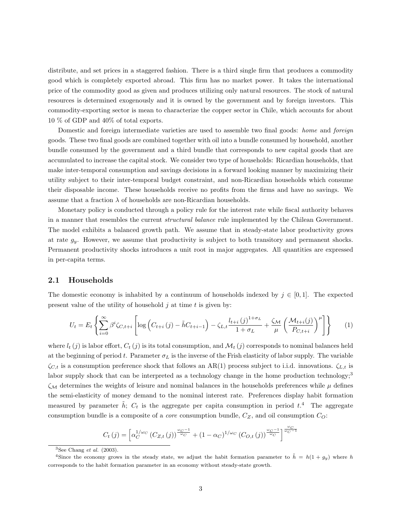distribute, and set prices in a staggered fashion. There is a third single firm that produces a commodity good which is completely exported abroad. This firm has no market power. It takes the international price of the commodity good as given and produces utilizing only natural resources. The stock of natural resources is determined exogenously and it is owned by the government and by foreign investors. This commodity-exporting sector is mean to characterize the copper sector in Chile, which accounts for about 10 % of GDP and 40% of total exports.

Domestic and foreign intermediate varieties are used to assemble two final goods: *home* and *foreign* goods. These two final goods are combined together with oil into a bundle consumed by household, another bundle consumed by the government and a third bundle that corresponds to new capital goods that are accumulated to increase the capital stock. We consider two type of households: Ricardian households, that make inter-temporal consumption and savings decisions in a forward looking manner by maximizing their utility subject to their inter-temporal budget constraint, and non-Ricardian households which consume their disposable income. These households receive no profits from the firms and have no savings. We assume that a fraction  $\lambda$  of households are non-Ricardian households.

Monetary policy is conducted through a policy rule for the interest rate while fiscal authority behaves in a manner that resembles the current structural balance rule implemented by the Chilean Government. The model exhibits a balanced growth path. We assume that in steady-state labor productivity grows at rate  $g_y$ . However, we assume that productivity is subject to both transitory and permanent shocks. Permanent productivity shocks introduces a unit root in major aggregates. All quantities are expressed in per-capita terms.

#### **2.1 Households**

The domestic economy is inhabited by a continuum of households indexed by  $j \in [0,1]$ . The expected present value of the utility of household  $j$  at time  $t$  is given by:

$$
U_t = E_t \left\{ \sum_{i=0}^{\infty} \beta^i \zeta_{C,t+i} \left[ \log \left( C_{t+i} \left( j \right) - \tilde{h} C_{t+i-1} \right) - \zeta_{L,t} \frac{l_{t+i} \left( j \right)^{1+\sigma_L}}{1+\sigma_L} + \frac{\zeta_{\mathcal{M}}}{\mu} \left( \frac{\mathcal{M}_{t+i}(j)}{P_{C,t+i}} \right)^{\mu} \right] \right\}
$$
(1)

where  $l_t(j)$  is labor effort,  $C_t(j)$  is its total consumption, and  $\mathcal{M}_t(j)$  corresponds to nominal balances held at the beginning of period t. Parameter  $\sigma_L$  is the inverse of the Frish elasticity of labor supply. The variable  $\zeta_{C,t}$  is a consumption preference shock that follows an AR(1) process subject to i.i.d. innovations.  $\zeta_{L,t}$  is labor supply shock that can be interpreted as a technology change in the home production technology;<sup>3</sup>  $\zeta_M$  determines the weights of leisure and nominal balances in the households preferences while  $\mu$  defines the semi-elasticity of money demand to the nominal interest rate. Preferences display habit formation measured by parameter  $\tilde{h}$ ;  $C_t$  is the aggregate per capita consumption in period  $t$ .<sup>4</sup> The aggregate consumption bundle is a composite of a *core* consumption bundle,  $C_Z$ , and oil consumption  $C_O$ :

$$
C_t(j) = \left[\alpha_C^{1/\omega_C} \left(C_{Z,t}(j)\right)^{\frac{\omega_C - 1}{\omega_C}} + (1 - \alpha_C)^{1/\omega_C} \left(C_{O,t}(j)\right)^{\frac{\omega_C - 1}{\omega_C}}\right]^{\frac{\omega_C}{\omega_C - 1}}
$$

 $3$ See Chang et al. (2003).

<sup>&</sup>lt;sup>4</sup>Since the economy grows in the steady state, we adjust the habit formation parameter to  $\tilde{h} = h(1 + g_y)$  where h corresponds to the habit formation parameter in an economy without steady-state growth.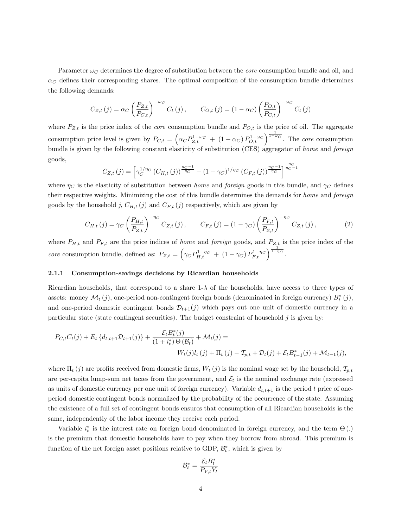Parameter  $\omega_C$  determines the degree of substitution between the *core* consumption bundle and oil, and  $\alpha_C$  defines their corresponding shares. The optimal composition of the consumption bundle determines the following demands:

$$
C_{Z,t}(j) = \alpha_C \left(\frac{P_{Z,t}}{P_{C,t}}\right)^{-\omega_C} C_t(j), \qquad C_{O,t}(j) = (1 - \alpha_C) \left(\frac{P_{O,t}}{P_{C,t}}\right)^{-\omega_C} C_t(j)
$$

where  $P_{Z,t}$  is the price index of the *core* consumption bundle and  $P_{O,t}$  is the price of oil. The aggregate consumption price level is given by  $P_{C,t} = \left(\alpha_C P_{Z,t}^{1-\omega_C} + (1-\alpha_C) P_{O,t}^{1-\omega_C}\right)^{\frac{1}{1-\omega_C}}$ . The core consumption bundle is given by the following constant elasticity of substitution (CES) aggregator of home and foreign goods,

$$
C_{Z,t}(j) = \left[ \gamma_C^{1/\eta_C} \left( C_{H,t}(j) \right)^{\frac{\eta_C - 1}{\eta_C}} + (1 - \gamma_C)^{1/\eta_C} \left( C_{F,t}(j) \right)^{\frac{\eta_C - 1}{\eta_C}} \right]^{\frac{\eta_C}{\eta_C - 1}}
$$

where  $\eta_C$  is the elasticity of substitution between *home* and *foreign* goods in this bundle, and  $\gamma_C$  defines their respective weights. Minimizing the cost of this bundle determines the demands for home and foreign goods by the household j,  $C_{H,t}(j)$  and  $C_{F,t}(j)$  respectively, which are given by

$$
C_{H,t}(j) = \gamma_C \left(\frac{P_{H,t}}{P_{Z,t}}\right)^{-\eta_C} C_{Z,t}(j), \qquad C_{F,t}(j) = (1 - \gamma_C) \left(\frac{P_{F,t}}{P_{Z,t}}\right)^{-\eta_C} C_{Z,t}(j), \tag{2}
$$

where  $P_{H,t}$  and  $P_{F,t}$  are the price indices of *home* and *foreign* goods, and  $P_{Z,t}$  is the price index of the core consumption bundle, defined as:  $P_{Z,t} = \left(\gamma_C P_{H,t}^{1-\eta_C} + (1-\gamma_C) P_{F,t}^{1-\eta_C}\right)^{\frac{1}{1-\eta_C}}$ .

#### **2.1.1 Consumption-savings decisions by Ricardian households**

Ricardian households, that correspond to a share  $1-\lambda$  of the households, have access to three types of assets: money  $\mathcal{M}_t(j)$ , one-period non-contingent foreign bonds (denominated in foreign currency)  $B_t^*(j)$ , and one-period domestic contingent bonds  $\mathcal{D}_{t+1}(j)$  which pays out one unit of domestic currency in a particular state (state contingent securities). The budget constraint of household  $j$  is given by:

$$
P_{C,t}C_t(j) + E_t \{d_{t,t+1}D_{t+1}(j)\} + \frac{\mathcal{E}_t B_t^*(j)}{(1+i_t^*)\Theta(\mathcal{B}_t)} + \mathcal{M}_t(j) =
$$
  

$$
W_t(j)l_t(j) + \Pi_t(j) - \mathcal{T}_{p,t} + \mathcal{D}_t(j) + \mathcal{E}_t B_{t-1}^*(j) + \mathcal{M}_{t-1}(j),
$$

where  $\Pi_t(j)$  are profits received from domestic firms,  $W_t(j)$  is the nominal wage set by the household,  $\mathcal{T}_{p,t}$ are per-capita lump-sum net taxes from the government, and  $\mathcal{E}_t$  is the nominal exchange rate (expressed as units of domestic currency per one unit of foreign currency). Variable  $d_{t,t+1}$  is the period t price of oneperiod domestic contingent bonds normalized by the probability of the occurrence of the state. Assuming the existence of a full set of contingent bonds ensures that consumption of all Ricardian households is the same, independently of the labor income they receive each period.

Variable  $i_t^*$  is the interest rate on foreign bond denominated in foreign currency, and the term  $\Theta(.)$ is the premium that domestic households have to pay when they borrow from abroad. This premium is function of the net foreign asset positions relative to GDP,  $\mathcal{B}_{t}^{*}$ , which is given by

$$
\mathcal{B}_t^* = \frac{\mathcal{E}_t B_t^*}{P_{Y,t} Y_t}
$$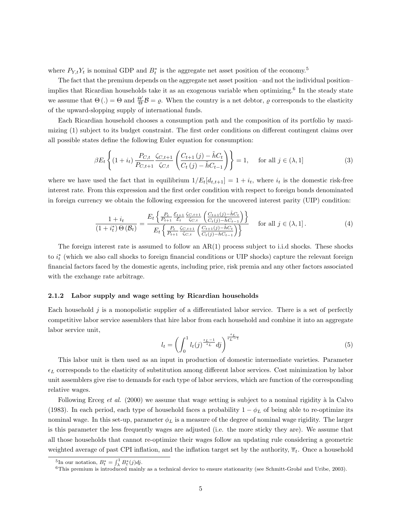where  $P_{Y,t}Y_t$  is nominal GDP and  $B_t^*$  is the aggregate net asset position of the economy.<sup>5</sup>

The fact that the premium depends on the aggregate net asset position –and not the individual position– implies that Ricardian households take it as an exogenous variable when optimizing.<sup>6</sup> In the steady state we assume that  $\Theta(.) = \Theta$  and  $\frac{\Theta'}{\Theta} \mathcal{B} = \varrho$ . When the country is a net debtor,  $\varrho$  corresponds to the elasticity of the upward-slopping supply of international funds.

Each Ricardian household chooses a consumption path and the composition of its portfolio by maximizing (1) subject to its budget constraint. The first order conditions on different contingent claims over all possible states define the following Euler equation for consumption:

$$
\beta E_t \left\{ (1 + i_t) \frac{P_{C,t}}{P_{C,t+1}} \frac{\zeta_{C,t+1}}{\zeta_{C,t}} \left( \frac{C_{t+1}(j) - \tilde{h}C_t}{C_t(j) - \tilde{h}C_{t-1}} \right) \right\} = 1, \quad \text{for all } j \in (\lambda, 1]
$$
 (3)

where we have used the fact that in equilibrium  $1/E_t[d_{t,t+1}] = 1 + i_t$ , where  $i_t$  is the domestic risk-free interest rate. From this expression and the first order condition with respect to foreign bonds denominated in foreign currency we obtain the following expression for the uncovered interest parity (UIP) condition:

$$
\frac{1+i_t}{(1+i_t^*)\Theta(\mathcal{B}_t)} = \frac{E_t \left\{ \frac{P_t}{P_{t+1}} \frac{\mathcal{E}_{t+1}}{\mathcal{E}_t} \frac{\zeta_{C,t+1}}{\zeta_{C,t}} \left( \frac{C_{t+1}(j) - \tilde{h}C_t}{C_t(j) - \tilde{h}C_{t-1}} \right) \right\}}{E_t \left\{ \frac{P_t}{P_{t+1}} \frac{\zeta_{C,t+1}}{\zeta_{C,t}} \left( \frac{C_{t+1}(j) - \tilde{h}C_t}{C_t(j) - \tilde{h}C_{t-1}} \right) \right\}} \quad \text{for all } j \in (\lambda, 1].
$$
\n(4)

The foreign interest rate is assumed to follow an AR(1) process subject to i.i.d shocks. These shocks to  $i_t^*$  (which we also call shocks to foreign financial conditions or UIP shocks) capture the relevant foreign financial factors faced by the domestic agents, including price, risk premia and any other factors associated with the exchange rate arbitrage.

#### **2.1.2 Labor supply and wage setting by Ricardian households**

Each household  $j$  is a monopolistic supplier of a differentiated labor service. There is a set of perfectly competitive labor service assemblers that hire labor from each household and combine it into an aggregate labor service unit,

$$
l_t = \left(\int_0^1 l_t(j)^{\frac{\epsilon_L - 1}{\epsilon_L}} dj\right)^{\frac{\epsilon_L}{\epsilon_L - 1}}
$$
\n(5)

This labor unit is then used as an input in production of domestic intermediate varieties. Parameter  $\epsilon_L$  corresponds to the elasticity of substitution among different labor services. Cost minimization by labor unit assemblers give rise to demands for each type of labor services, which are function of the corresponding relative wages.

Following Erceg et al. (2000) we assume that wage setting is subject to a nominal rigidity à la Calvo (1983). In each period, each type of household faces a probability  $1 - \phi_L$  of being able to re-optimize its nominal wage. In this set-up, parameter  $\phi_L$  is a measure of the degree of nominal wage rigidity. The larger is this parameter the less frequently wages are adjusted (i.e. the more sticky they are). We assume that all those households that cannot re-optimize their wages follow an updating rule considering a geometric weighted average of past CPI inflation, and the inflation target set by the authority,  $\overline{\pi}_t$ . Once a household

<sup>&</sup>lt;sup>5</sup>In our notation,  $B_t^* = \int_{\lambda}^{1} B_t^*(j)dj$ .<br><sup>6</sup>This premium is introduced mainly as a technical device to ensure stationarity (see Schmitt-Grohé and Uribe, 2003).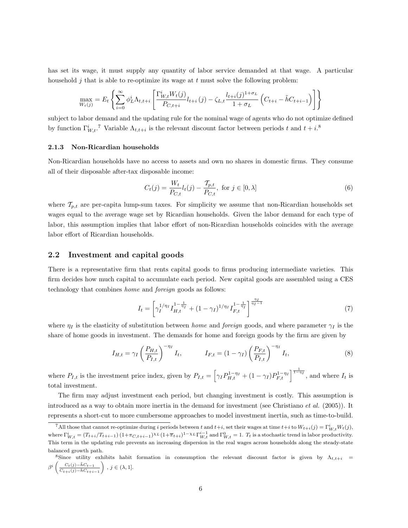has set its wage, it must supply any quantity of labor service demanded at that wage. A particular household  $j$  that is able to re-optimize its wage at  $t$  must solve the following problem:

$$
\max_{W_t(j)} = E_t \left\{ \sum_{i=0}^{\infty} \phi_L^i \Lambda_{t,t+i} \left[ \frac{\Gamma_{W,t}^i W_t(j)}{P_{C,t+i}} l_{t+i}(j) - \zeta_{L,t} \frac{l_{t+i}(j)^{1+\sigma_L}}{1+\sigma_L} \left( C_{t+i} - \tilde{h} C_{t+i-1} \right) \right] \right\}
$$

subject to labor demand and the updating rule for the nominal wage of agents who do not optimize defined by function  $\Gamma^i_{W,t}$ <sup>7</sup> Variable  $\Lambda_{t,t+i}$  is the relevant discount factor between periods t and  $t+i$ <sup>8</sup>

#### **2.1.3 Non-Ricardian households**

Non-Ricardian households have no access to assets and own no shares in domestic firms. They consume all of their disposable after-tax disposable income:

$$
C_t(j) = \frac{W_t}{P_{C,t}} l_t(j) - \frac{T_{p,t}}{P_{C,t}}, \text{ for } j \in [0, \lambda]
$$
 (6)

where  $\mathcal{T}_{p,t}$  are per-capita lump-sum taxes. For simplicity we assume that non-Ricardian households set wages equal to the average wage set by Ricardian households. Given the labor demand for each type of labor, this assumption implies that labor effort of non-Ricardian households coincides with the average labor effort of Ricardian households.

#### **2.2 Investment and capital goods**

There is a representative firm that rents capital goods to firms producing intermediate varieties. This firm decides how much capital to accumulate each period. New capital goods are assembled using a CES technology that combines home and foreign goods as follows:

$$
I_t = \left[ \gamma_I^{1/\eta_I} I_{H,t}^{1-\frac{1}{\eta_I}} + (1-\gamma_I)^{1/\eta_I} I_{F,t}^{1-\frac{1}{\eta_I}} \right]^{\frac{\eta_I}{\eta_I-1}} \tag{7}
$$

where  $\eta_I$  is the elasticity of substitution between home and foreign goods, and where parameter  $\gamma_I$  is the share of home goods in investment. The demands for home and foreign goods by the firm are given by

$$
I_{H,t} = \gamma_I \left(\frac{P_{H,t}}{P_{I,t}}\right)^{-\eta_I} I_t, \qquad I_{F,t} = (1 - \gamma_I) \left(\frac{P_{F,t}}{P_{I,t}}\right)^{-\eta_I} I_t,
$$
\n(8)

where  $P_{I,t}$  is the investment price index, given by  $P_{I,t} = \left[\gamma_I P_{H,t}^{1-\eta_I} + (1-\gamma_I)P_{F,t}^{1-\eta_I}\right]^{\frac{1}{1-\eta_I}}$ , and where  $I_t$  is total investment.

The firm may adjust investment each period, but changing investment is costly. This assumption is introduced as a way to obtain more inertia in the demand for investment (see Christiano et al. (2005)). It represents a short-cut to more cumbersome approaches to model investment inertia, such as time-to-build.

<sup>&</sup>lt;sup>7</sup>All those that cannot re-optimize during i periods between t and  $t+i$ , set their wages at time  $t+i$  to  $W_{t+i}(j)=\Gamma^i_{W,t}W_t(j)$ , where  $\Gamma^i_{W,t} = (T_{t+i}/T_{t+i-1})(1+\pi_{C,t+i-1})^{\chi_L}(1+\overline{\pi}_{t+i})^{1-\chi_L}\Gamma^{i-1}_{W,t}$  and  $\Gamma^0_{W,t} = 1$ .  $T_t$  is a stochastic trend in labor productivity. This term in the updating rule prevents an increasing dispersion in the real wages across households along the steady-state balanced growth path.

<sup>&</sup>lt;sup>8</sup>Since utility exhibits habit formation in consumption the relevant discount factor is given by  $\Lambda_{t,t+i}$  =  $\beta^i \left( \frac{C_t(j) - \tilde{h}C_{t-1}}{C_t(j) - \tilde{h}C_{t-1}} \right)$  $C_{t+i}(j)$ − $\tilde{h}C_{t+i-1}$ ),  $j \in (\lambda, 1]$ .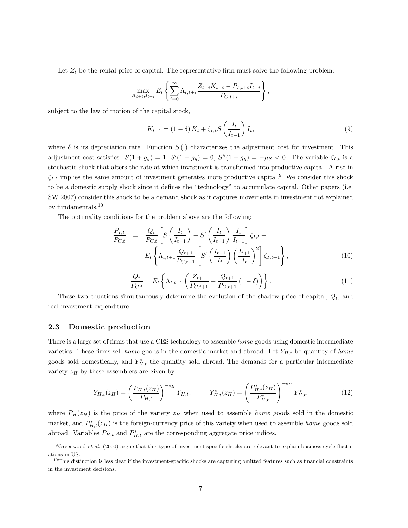Let  $Z_t$  be the rental price of capital. The representative firm must solve the following problem:

$$
\max_{K_{t+i}, I_{t+i}} E_t \left\{ \sum_{i=0}^{\infty} \Lambda_{t,t+i} \frac{Z_{t+i} K_{t+i} - P_{I,t+i} I_{t+i}}{P_{C,t+i}} \right\},\,
$$

subject to the law of motion of the capital stock,

$$
K_{t+1} = (1 - \delta) K_t + \zeta_{I,t} S\left(\frac{I_t}{I_{t-1}}\right) I_t,
$$
\n(9)

where  $\delta$  is its depreciation rate. Function  $S(.)$  characterizes the adjustment cost for investment. This adjustment cost satisfies:  $S(1+g_y) = 1$ ,  $S'(1+g_y) = 0$ ,  $S''(1+g_y) = -\mu_S < 0$ . The variable  $\zeta_{I,t}$  is a stochastic shock that alters the rate at which investment is transformed into productive capital. A rise in  $\zeta_{I,t}$  implies the same amount of investment generates more productive capital.<sup>9</sup> We consider this shock to be a domestic supply shock since it defines the "technology" to accumulate capital. Other papers (i.e. SW 2007) consider this shock to be a demand shock as it captures movements in investment not explained by fundamentals.<sup>10</sup>

The optimality conditions for the problem above are the following:

$$
\frac{P_{I,t}}{P_{C,t}} = \frac{Q_t}{P_{C,t}} \left[ S\left(\frac{I_t}{I_{t-1}}\right) + S'\left(\frac{I_t}{I_{t-1}}\right) \frac{I_t}{I_{t-1}} \right] \zeta_{I,t} - E_t \left\{ \Lambda_{t,t+1} \frac{Q_{t+1}}{P_{C,t+1}} \left[ S'\left(\frac{I_{t+1}}{I_t}\right) \left(\frac{I_{t+1}}{I_t}\right)^2 \right] \zeta_{I,t+1} \right\},
$$
\n(10)

$$
\frac{Q_t}{P_{C,t}} = E_t \left\{ \Lambda_{t,t+1} \left( \frac{Z_{t+1}}{P_{C,t+1}} + \frac{Q_{t+1}}{P_{C,t+1}} (1 - \delta) \right) \right\}.
$$
\n(11)

These two equations simultaneously determine the evolution of the shadow price of capital,  $Q_t$ , and real investment expenditure.

#### **2.3 Domestic production**

There is a large set of firms that use a CES technology to assemble home goods using domestic intermediate varieties. These firms sell *home* goods in the domestic market and abroad. Let  $Y_{H,t}$  be quantity of *home* goods sold domestically, and  $Y_{H,t}^*$  the quantity sold abroad. The demands for a particular intermediate variety  $z_H$  by these assemblers are given by:

$$
Y_{H,t}(z_H) = \left(\frac{P_{H,t}(z_H)}{P_{H,t}}\right)^{-\epsilon_H} Y_{H,t}, \qquad Y_{H,t}^*(z_H) = \left(\frac{P_{H,t}^*(z_H)}{P_{H,t}^*}\right)^{-\epsilon_H} Y_{H,t}^*,
$$
(12)

where  $P_H(z_H)$  is the price of the variety  $z_H$  when used to assemble *home* goods sold in the domestic market, and  $P_{H,t}^*(z_H)$  is the foreign-currency price of this variety when used to assemble *home* goods sold abroad. Variables  $P_{H,t}$  and  $P_{H,t}^*$  are the corresponding aggregate price indices.

 $9$ Greenwood et al. (2000) argue that this type of investment-specific shocks are relevant to explain business cycle fluctuations in US.

 $10$ This distinction is less clear if the investment-specific shocks are capturing omitted features such as financial constraints in the investment decisions.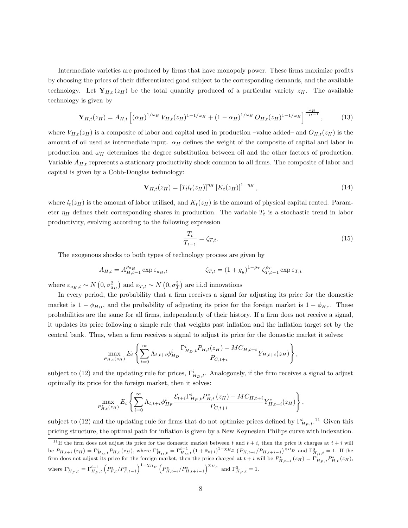Intermediate varieties are produced by firms that have monopoly power. These firms maximize profits by choosing the prices of their differentiated good subject to the corresponding demands, and the available technology. Let  $Y_{H,t}(z_H)$  be the total quantity produced of a particular variety  $z_H$ . The available technology is given by

$$
\mathbf{Y}_{H,t}(z_H) = A_{H,t} \left[ \left( \alpha_H \right)^{1/\omega_H} V_{H,t}(z_H)^{1-1/\omega_H} + \left( 1 - \alpha_H \right)^{1/\omega_H} O_{H,t}(z_H)^{1-1/\omega_H} \right]^{\frac{\omega_H}{\omega_H - 1}},\tag{13}
$$

where  $V_{H,t}(z_H)$  is a composite of labor and capital used in production –value added– and  $O_{H,t}(z_H)$  is the amount of oil used as intermediate input.  $\alpha_H$  defines the weight of the composite of capital and labor in production and  $\omega_H$  determines the degree substitution between oil and the other factors of production. Variable  $A_{H,t}$  represents a stationary productivity shock common to all firms. The composite of labor and capital is given by a Cobb-Douglas technology:

$$
\mathbf{V}_{H,t}(z_H) = [T_t l_t(z_H)]^{\eta_H} [K_t(z_H)]^{1-\eta_H}, \qquad (14)
$$

where  $l_t(z_H)$  is the amount of labor utilized, and  $K_t(z_H)$  is the amount of physical capital rented. Parameter  $\eta_H$  defines their corresponding shares in production. The variable  $T_t$  is a stochastic trend in labor productivity, evolving according to the following expression

$$
\frac{T_t}{T_{t-1}} = \zeta_{T,t}.\tag{15}
$$

The exogenous shocks to both types of technology process are given by

$$
A_{H,t} = A_{H,t-1}^{\rho_{a_H}} \exp \varepsilon_{a_H,t} \qquad \qquad \zeta_{T,t} = (1+g_y)^{1-\rho_T} \zeta_{T,t-1}^{\rho_T} \exp \varepsilon_{T,t}
$$

where  $\varepsilon_{a_H,t} \sim N(0, \sigma_{a_H}^2)$  and  $\varepsilon_{T,t} \sim N(0, \sigma_T^2)$  are i.i.d innovations

In every period, the probability that a firm receives a signal for adjusting its price for the domestic market is  $1 - \phi_{H_D}$ , and the probability of adjusting its price for the foreign market is  $1 - \phi_{H_F}$ . These probabilities are the same for all firms, independently of their history. If a firm does not receive a signal, it updates its price following a simple rule that weights past inflation and the inflation target set by the central bank. Thus, when a firm receives a signal to adjust its price for the domestic market it solves:

$$
\max_{P_{H,t}(z_H)} E_t \left\{ \sum_{i=0}^{\infty} \Lambda_{t,t+i} \phi_{H_D}^i \frac{\Gamma_{H_D,t}^i P_{H,t}(z_H) - M C_{H,t+i}}{P_{C,t+i}} Y_{H,t+i}(z_H) \right\},\,
$$

subject to (12) and the updating rule for prices,  $\Gamma_{H_D,t}^i$ . Analogously, if the firm receives a signal to adjust optimally its price for the foreign market, then it solves:

$$
\max_{P_{H,t}^*(z_H)} E_t \left\{ \sum_{i=0}^{\infty} \Lambda_{t,t+i} \phi_{H_F}^i \frac{\mathcal{E}_{t+i} \Gamma_{H_F,t}^i P_{H,t}^*(z_H) - MC_{H,t+i}}{P_{C,t+i}} Y_{H,t+i}^*(z_H) \right\},\,
$$

subject to (12) and the updating rule for firms that do not optimize prices defined by  $\Gamma^i_{H_F,t}$ .<sup>11</sup> Given this pricing structure, the optimal path for inflation is given by a New Keynesian Philips curve with indexation.

<sup>&</sup>lt;sup>11</sup>If the firm does not adjust its price for the domestic market between t and  $t + i$ , then the price it charges at  $t + i$  will be  $P_{H,t+i}(z_H) = \Gamma_{H_D,t}^i P_{H,t}(z_H)$ , where  $\Gamma_{H_D,t}^i = \Gamma_{H_D,t}^{i-1} (1 + \bar{\pi}_{t+i})^{1-\chi_{H_D}} (P_{H,t+i}/P_{H,t+i-1})^{\chi_{H_D}}$  and  $\Gamma_{H_D,t}^0 = 1$ . If the firm does not adjust its price for the foreign market, then the price charged at  $t + i$  will be  $P_{H,t+i}^*(z_H) = \Gamma_{H_F,t}^i P_{H,t}^*(z_H)$ , where  $\Gamma^i_{H_F,t} = \Gamma^{i-1}_{H_F,t} \left( P^*_{F,t}/P^*_{F,t-1} \right)$  $\Big)^{1-\chi_{H_F}}\left(P_{H,t+i}^*/P_{H,t+i-1}^*\right)^{\chi_{H_F}}$  and  $\Gamma_{H_F,t}^0=1.$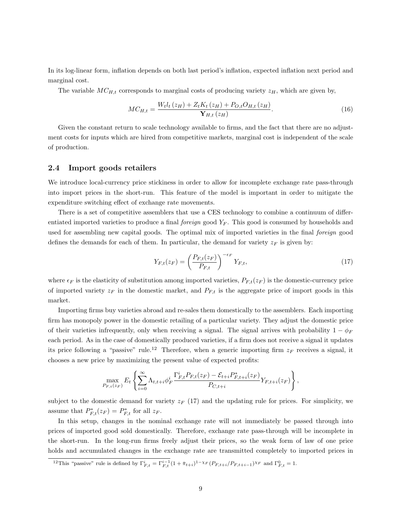In its log-linear form, inflation depends on both last period's inflation, expected inflation next period and marginal cost.

The variable  $MC_{H,t}$  corresponds to marginal costs of producing variety  $z_H$ , which are given by,

$$
MC_{H,t} = \frac{W_t l_t (z_H) + Z_t K_t (z_H) + P_{O,t} O_{H,t} (z_H)}{Y_{H,t} (z_H)}.
$$
\n(16)

Given the constant return to scale technology available to firms, and the fact that there are no adjustment costs for inputs which are hired from competitive markets, marginal cost is independent of the scale of production.

#### **2.4 Import goods retailers**

We introduce local-currency price stickiness in order to allow for incomplete exchange rate pass-through into import prices in the short-run. This feature of the model is important in order to mitigate the expenditure switching effect of exchange rate movements.

There is a set of competitive assemblers that use a CES technology to combine a continuum of differentiated imported varieties to produce a final *foreign* good  $Y_F$ . This good is consumed by households and used for assembling new capital goods. The optimal mix of imported varieties in the final *foreign* good defines the demands for each of them. In particular, the demand for variety  $z_F$  is given by:

$$
Y_{F,t}(z_F) = \left(\frac{P_{F,t}(z_F)}{P_{F,t}}\right)^{-\epsilon_F} Y_{F,t},\tag{17}
$$

where  $\epsilon_F$  is the elasticity of substitution among imported varieties,  $P_{F,t}(z_F)$  is the domestic-currency price of imported variety  $z_F$  in the domestic market, and  $P_{F,t}$  is the aggregate price of import goods in this market.

Importing firms buy varieties abroad and re-sales them domestically to the assemblers. Each importing firm has monopoly power in the domestic retailing of a particular variety. They adjust the domestic price of their varieties infrequently, only when receiving a signal. The signal arrives with probability  $1 - \phi_F$ each period. As in the case of domestically produced varieties, if a firm does not receive a signal it updates its price following a "passive" rule.<sup>12</sup> Therefore, when a generic importing firm  $z_F$  receives a signal, it chooses a new price by maximizing the present value of expected profits:

$$
\max_{P_{F,t}(z_F)} E_t \left\{ \sum_{i=0}^{\infty} \Lambda_{t,t+i} \phi_F^i \frac{\Gamma_{F,t}^i P_{F,t}(z_F) - \mathcal{E}_{t+i} P_{F,t+i}^*(z_F)}{P_{C,t+i}} Y_{F,t+i}(z_F) \right\},\,
$$

subject to the domestic demand for variety  $z_F$  (17) and the updating rule for prices. For simplicity, we assume that  $P_{F,t}^*(z_F) = P_{F,t}^*$  for all  $z_F$ .

In this setup, changes in the nominal exchange rate will not immediately be passed through into prices of imported good sold domestically. Therefore, exchange rate pass-through will be incomplete in the short-run. In the long-run firms freely adjust their prices, so the weak form of law of one price holds and accumulated changes in the exchange rate are transmitted completely to imported prices in

<sup>12</sup>This "passive" rule is defined by  $\Gamma_{F,t}^i = \Gamma_{F,t}^{i-1} (1 + \bar{\pi}_{t+i})^{1-\chi_F} (P_{F,t+i}/P_{F,t+i-1})^{\chi_F}$  and  $\Gamma_{F,t}^0 = 1$ .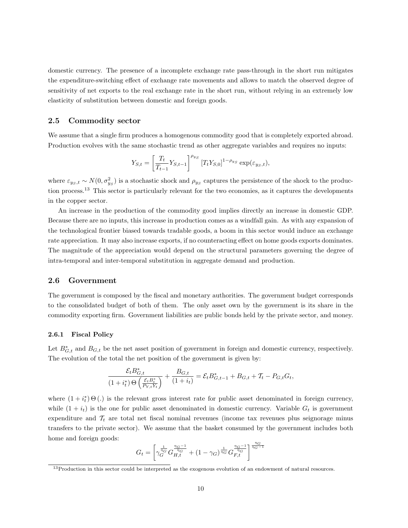domestic currency. The presence of a incomplete exchange rate pass-through in the short run mitigates the expenditure-switching effect of exchange rate movements and allows to match the observed degree of sensitivity of net exports to the real exchange rate in the short run, without relying in an extremely low elasticity of substitution between domestic and foreign goods.

#### **2.5 Commodity sector**

We assume that a single firm produces a homogenous commodity good that is completely exported abroad. Production evolves with the same stochastic trend as other aggregate variables and requires no inputs:

$$
Y_{S,t} = \left[\frac{T_t}{T_{t-1}} Y_{S,t-1}\right]^{\rho_{y_S}} \left[T_t Y_{S,0}\right]^{1-\rho_{y_S}} \exp(\varepsilon_{y_S,t}),
$$

where  $\varepsilon_{ys,t} \sim N(0, \sigma_{ys}^2)$  is a stochastic shock and  $\rho_{ys}$  captures the persistence of the shock to the production process.<sup>13</sup> This sector is particularly relevant for the two economies, as it captures the developments in the copper sector.

An increase in the production of the commodity good implies directly an increase in domestic GDP. Because there are no inputs, this increase in production comes as a windfall gain. As with any expansion of the technological frontier biased towards tradable goods, a boom in this sector would induce an exchange rate appreciation. It may also increase exports, if no counteracting effect on home goods exports dominates. The magnitude of the appreciation would depend on the structural parameters governing the degree of intra-temporal and inter-temporal substitution in aggregate demand and production.

#### **2.6 Government**

The government is composed by the fiscal and monetary authorities. The government budget corresponds to the consolidated budget of both of them. The only asset own by the government is its share in the commodity exporting firm. Government liabilities are public bonds held by the private sector, and money.

#### **2.6.1 Fiscal Policy**

Let  $B_{G,t}^*$  and  $B_{G,t}$  be the net asset position of government in foreign and domestic currency, respectively. The evolution of the total the net position of the government is given by:

$$
\frac{\mathcal{E}_t B_{G,t}^*}{(1+i_t^*)\Theta\left(\frac{\mathcal{E}_t B_t^*}{P_{Y,t} Y_t}\right)} + \frac{B_{G,t}}{(1+i_t)} = \mathcal{E}_t B_{G,t-1}^* + B_{G,t} + \mathcal{T}_t - P_{G,t} G_t,
$$

where  $(1+i_t^*)\Theta(.)$  is the relevant gross interest rate for public asset denominated in foreign currency, while  $(1 + i_t)$  is the one for public asset denominated in domestic currency. Variable  $G_t$  is government expenditure and  $\mathcal{T}_t$  are total net fiscal nominal revenues (income tax revenues plus seignorage minus transfers to the private sector). We assume that the basket consumed by the government includes both home and foreign goods:

$$
G_t = \left[ \gamma_G^{\frac{1}{\eta_G}} G_{H,t}^{\frac{\eta_G - 1}{\eta_G}} + (1 - \gamma_G)^{\frac{1}{\eta_G}} G_{F,t}^{\frac{\eta_G - 1}{\eta_G}} \right]^{\frac{\eta_G}{\eta_G - 1}}
$$

<sup>&</sup>lt;sup>13</sup>Production in this sector could be interpreted as the exogenous evolution of an endowment of natural resources.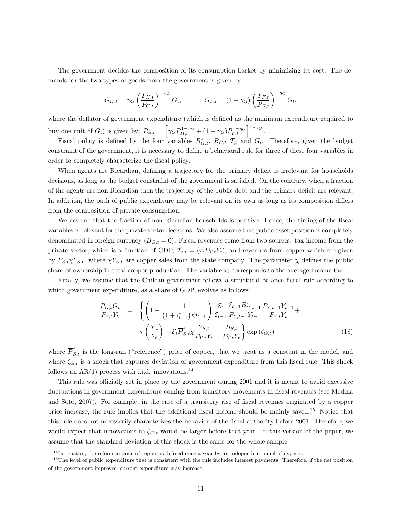The government decides the composition of its consumption basket by minimizing its cost. The demands for the two types of goods from the government is given by

$$
G_{H,t} = \gamma_G \left(\frac{P_{H,t}}{P_{G,t}}\right)^{-\eta_G} G_t, \qquad G_{F,t} = (1 - \gamma_G) \left(\frac{P_{F,t}}{P_{G,t}}\right)^{-\eta_G} G_t,
$$

where the deflator of government expenditure (which is defined as the minimum expenditure required to buy one unit of  $G_t$ ) is given by:  $P_{G,t} = \left[ \gamma_G P_{H,t}^{1-\eta_G} + (1-\gamma_G) P_{F,t}^{1-\eta_G} \right]_{t=\eta_G}^{\frac{1}{1-\eta_G}}$ .

Fiscal policy is defined by the four variables  $B_{G,t}^*$ ,  $B_{G,t}$ ,  $\mathcal{T}_{t}$  and  $G_t$ . Therefore, given the budget constraint of the government, it is necessary to define a behavioral rule for three of these four variables in order to completely characterize the fiscal policy.

When agents are Ricardian, defining a trajectory for the primary deficit is irrelevant for households decisions, as long as the budget constraint of the government is satisfied. On the contrary, when a fraction of the agents are non-Ricardian then the trajectory of the public debt and the primary deficit are relevant. In addition, the path of public expenditure may be relevant on its own as long as its composition differs from the composition of private consumption.

We assume that the fraction of non-Ricardian households is positive. Hence, the timing of the fiscal variables is relevant for the private sector decisions. We also assume that public asset position is completely denominated in foreign currency  $(B_{G,t} = 0)$ . Fiscal revenues come from two sources: tax income from the private sector, which is a function of GDP,  $\mathcal{T}_{p,t} = (\tau_t P_{Y,t} Y_t)$ , and revenues from copper which are given by  $P_{S,t}\chi Y_{S,t}$ , where  $\chi Y_{S,t}$  are copper sales from the state company. The parameter  $\chi$  defines the public share of ownership in total copper production. The variable  $\tau_t$  corresponds to the average income tax.

Finally, we assume that the Chilean government follows a structural balance fiscal rule according to which government expenditure, as a share of GDP, evolves as follows:

$$
\frac{P_{G,t}G_t}{P_{Y,t}Y_t} = \begin{cases} \left(1 - \frac{1}{(1 + i_{t-1}^*)\Theta_{t-1}}\right) \frac{\mathcal{E}_t}{\mathcal{E}_{t-1}} \frac{\mathcal{E}_{t-1}B_{G,t-1}^*}{P_{Y,t-1}Y_{t-1}} \frac{P_{Y,t-1}Y_{t-1}}{P_{Y,t}Y_t} + \\ \tau \left(\frac{\overline{Y}_t}{Y_t}\right) + \mathcal{E}_t \overline{P}_{S,t}^* \chi \frac{Y_{S,t}}{P_{Y,t}Y_t} - \frac{B_{S,t}}{P_{Y,t}Y_t} \end{cases} \exp\left(\zeta_{G,t}\right) \tag{18}
$$

where  $\overline{P}_{S,t}^*$  is the long-run ("reference") price of copper, that we treat as a constant in the model, and where  $\zeta_{G,t}$  is a shock that captures deviation of government expenditure from this fiscal rule. This shock follows an  $AR(1)$  process with i.i.d. innovations.<sup>14</sup>

This rule was officially set in place by the government during 2001 and it is meant to avoid excessive fluctuations in government expenditure coming from transitory movements in fiscal revenues (see Medina and Soto, 2007). For example, in the case of a transitory rise of fiscal revenues originated by a copper price increase, the rule implies that the additional fiscal income should be mainly saved.<sup>15</sup> Notice that this rule does not necessarily characterizes the behavior of the fiscal authority before 2001. Therefore, we would expect that innovations to  $\zeta_{G,t}$  would be larger before that year. In this version of the paper, we assume that the standard deviation of this shock is the same for the whole sample.

<sup>14</sup>In practice, the reference price of copper is defined once a year by an independent panel of experts.

 $15$ The level of public expenditure that is consistent with the rule includes interest payments. Therefore, if the net position of the government improves, current expenditure may increase.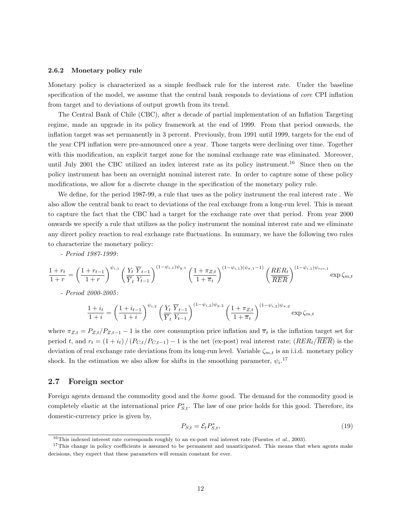#### **2.6.2 Monetary policy rule**

Monetary policy is characterized as a simple feedback rule for the interest rate. Under the baseline specification of the model, we assume that the central bank responds to deviations of core CPI inflation from target and to deviations of output growth from its trend.

The Central Bank of Chile (CBC), after a decade of partial implementation of an Inflation Targeting regime, made an upgrade in its policy framework at the end of 1999. From that period onwards, the inflation target was set permanently in 3 percent. Previously, from 1991 until 1999, targets for the end of the year CPI inflation were pre-announced once a year. Those targets were declining over time. Together with this modification, an explicit target zone for the nominal exchange rate was eliminated. Moreover, until July 2001 the CBC utilized an index interest rate as its policy instrument.<sup>16</sup> Since then on the policy instrument has been an overnight nominal interest rate. In order to capture some of these policy modifications, we allow for a discrete change in the specification of the monetary policy rule.

We define, for the period 1987-99, a rule that uses as the policy instrument the real interest rate . We also allow the central bank to react to deviations of the real exchange from a long-run level. This is meant to capture the fact that the CBC had a target for the exchange rate over that period. From year 2000 onwards we specify a rule that utilizes as the policy instrument the nominal interest rate and we eliminate any direct policy reaction to real exchange rate fluctuations. In summary, we have the following two rules to characterize the monetary policy:

- Period 1987-1999 :

$$
\frac{1+r_t}{1+r} = \left(\frac{1+r_{t-1}}{1+r}\right)^{\psi_{i,1}} \left(\frac{Y_t}{\overline{Y}_t} \frac{\overline{Y}_{t-1}}{Y_{t-1}}\right)^{(1-\psi_{i,1})\psi_{y,1}} \left(\frac{1+\pi_{Z,t}}{1+\overline{\pi}_t}\right)^{(1-\psi_{i,1})(\psi_{\pi,1}-1)} \left(\frac{RER_t}{\overline{RER}}\right)^{(1-\psi_{i,1})\psi_{ren,1}} \exp\zeta_{m,t}
$$

- Period 2000-2005 :

$$
\frac{1+i_t}{1+i} = \left(\frac{1+i_{t-1}}{1+i}\right)^{\psi_{i,2}} \left(\frac{Y_t}{\overline{Y}_t} \frac{\overline{Y}_{t-1}}{Y_{t-1}}\right)^{(1-\psi_{i,2})\psi_{y,2}} \left(\frac{1+\pi_{Z,t}}{1+\overline{\pi}_t}\right)^{(1-\psi_{i,2})\psi_{\pi,2}} \exp \zeta_{m,t}
$$

where  $\pi_{Z,t} = P_{Z,t}/P_{Z,t-1} - 1$  is the core consumption price inflation and  $\overline{\pi}_t$  is the inflation target set for period t, and  $r_t = (1 + i_t) / (P_{C,t}/P_{C,t-1}) - 1$  is the net (ex-post) real interest rate;  $(RER_t/\overline{RER})$  is the deviation of real exchange rate deviations from its long-run level. Variable  $\zeta_{m,t}$  is an i.i.d. monetary policy shock. In the estimation we also allow for shifts in the smoothing parameter,  $\psi_i$ <sup>17</sup>

#### **2.7 Foreign sector**

Foreign agents demand the commodity good and the home good. The demand for the commodity good is completely elastic at the international price  $P_{S,t}^*$ . The law of one price holds for this good. Therefore, its domestic-currency price is given by,

$$
P_{S,t} = \mathcal{E}_t P_{S,t}^*,\tag{19}
$$

<sup>&</sup>lt;sup>16</sup>This indexed interest rate corresponds roughly to an ex-post real interest rate (Fuentes *et al.*, 2003).

 $17$ This change in policy coefficients is assumed to be permanent and unanticipated. This means that when agents make decisions, they expect that these parameters will remain constant for ever.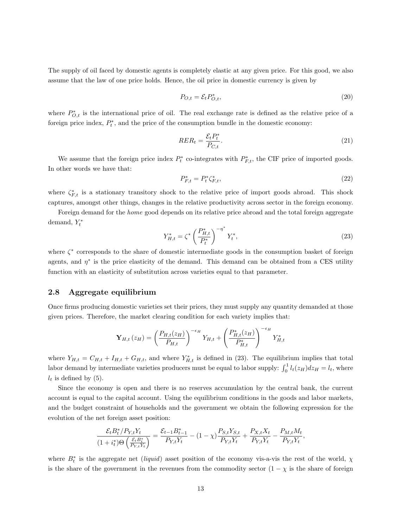The supply of oil faced by domestic agents is completely elastic at any given price. For this good, we also assume that the law of one price holds. Hence, the oil price in domestic currency is given by

$$
P_{O,t} = \mathcal{E}_t P_{O,t}^*,\tag{20}
$$

where  $P_{O,t}^*$  is the international price of oil. The real exchange rate is defined as the relative price of a foreign price index,  $P_t^*$ , and the price of the consumption bundle in the domestic economy:

$$
RER_t = \frac{\mathcal{E}_t P_t^*}{P_{C,t}}.\tag{21}
$$

We assume that the foreign price index  $P_t^*$  co-integrates with  $P_{F,t}^*$ , the CIF price of imported goods. In other words we have that:

$$
P_{F,t}^* = P_t^* \zeta_{F,t}^*,\tag{22}
$$

where  $\zeta_{F,t}^*$  is a stationary transitory shock to the relative price of import goods abroad. This shock captures, amongst other things, changes in the relative productivity across sector in the foreign economy.

Foreign demand for the home good depends on its relative price abroad and the total foreign aggregate demand,  $Y_t^*$ 

$$
Y_{H,t}^* = \zeta^* \left(\frac{P_{H,t}^*}{P_t^*}\right)^{-\eta^*} Y_t^*,\tag{23}
$$

where ζ<sup>∗</sup> corresponds to the share of domestic intermediate goods in the consumption basket of foreign agents, and  $\eta^*$  is the price elasticity of the demand. This demand can be obtained from a CES utility function with an elasticity of substitution across varieties equal to that parameter.

#### **2.8 Aggregate equilibrium**

Once firms producing domestic varieties set their prices, they must supply any quantity demanded at those given prices. Therefore, the market clearing condition for each variety implies that:

$$
\mathbf{Y}_{H,t}\left(z_{H}\right)=\left(\frac{P_{H,t}(z_{H})}{P_{H,t}}\right)^{-\epsilon_{H}}Y_{H,t}+\left(\frac{P_{H,t}^{*}(z_{H})}{P_{H,t}^{*}}\right)^{-\epsilon_{H}}Y_{H,t}^{*}
$$

where  $Y_{H,t} = C_{H,t} + I_{H,t} + G_{H,t}$ , and where  $Y_{H,t}^*$  is defined in (23). The equilibrium implies that total labor demand by intermediate varieties producers must be equal to labor supply:  $\int_0^1 l_t(z_H) dz_H = l_t$ , where  $l_t$  is defined by (5).

Since the economy is open and there is no reserves accumulation by the central bank, the current account is equal to the capital account. Using the equilibrium conditions in the goods and labor markets, and the budget constraint of households and the government we obtain the following expression for the evolution of the net foreign asset position:

$$
\frac{\mathcal{E}_t B_t^* / P_{Y,t} Y_t}{(1 + i_t^*) \Theta\left(\frac{\mathcal{E}_t B_t^*}{P_{Y,t} Y_t}\right)} = \frac{\mathcal{E}_{t-1} B_{t-1}^*}{P_{Y,t} Y_t} - (1 - \chi) \frac{P_{S,t} Y_{S,t}}{P_{Y,t} Y_t} + \frac{P_{X,t} X_t}{P_{Y,t} Y_t} - \frac{P_{M,t} M_t}{P_{Y,t} Y_t},
$$

where  $B_t^*$  is the aggregate net (liquid) asset position of the economy vis-a-vis the rest of the world,  $\chi$ is the share of the government in the revenues from the commodity sector  $(1 - \chi)$  is the share of foreign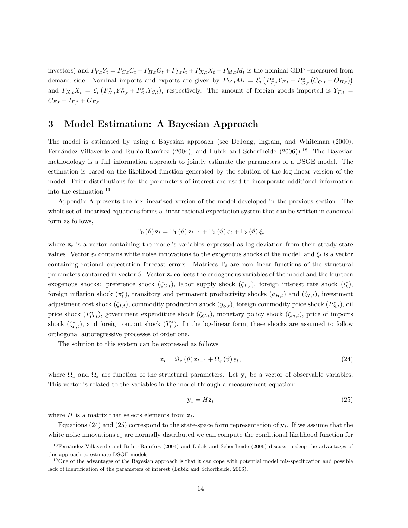investors) and  $P_{Y,t}Y_t = P_{C,t}C_t + P_{H,t}G_t + P_{I,t}I_t + P_{X,t}X_t - P_{M,t}M_t$  is the nominal GDP –measured from demand side. Nominal imports and exports are given by  $P_{M,t}M_t = \mathcal{E}_t(P_{F,t}^*Y_{F,t} + P_{O,t}^*(C_{O,t} + O_{H,t}))$ and  $P_{X,t}X_t = \mathcal{E}_t(P_{H,t}^*Y_{H,t}^* + P_{S,t}^*Y_{S,t}),$  respectively. The amount of foreign goods imported is  $Y_{F,t}$  $C_{F,t} + I_{F,t} + G_{F,t}.$ 

## **3 Model Estimation: A Bayesian Approach**

The model is estimated by using a Bayesian approach (see DeJong, Ingram, and Whiteman (2000), Fernández-Villaverde and Rubio-Ramírez (2004), and Lubik and Schorfheide (2006)).<sup>18</sup> The Bayesian methodology is a full information approach to jointly estimate the parameters of a DSGE model. The estimation is based on the likelihood function generated by the solution of the log-linear version of the model. Prior distributions for the parameters of interest are used to incorporate additional information into the estimation.<sup>19</sup>

Appendix A presents the log-linearized version of the model developed in the previous section. The whole set of linearized equations forms a linear rational expectation system that can be written in canonical form as follows,

$$
\Gamma_0(\vartheta) \mathbf{z}_t = \Gamma_1(\vartheta) \mathbf{z}_{t-1} + \Gamma_2(\vartheta) \varepsilon_t + \Gamma_3(\vartheta) \xi_t
$$

where  $z_t$  is a vector containing the model's variables expressed as log-deviation from their steady-state values. Vector  $\varepsilon_t$  contains white noise innovations to the exogenous shocks of the model, and  $\xi_t$  is a vector containing rational expectation forecast errors. Matrices  $\Gamma_i$  are non-linear functions of the structural parameters contained in vector  $\vartheta$ . Vector  $\mathbf{z}_t$  collects the endogenous variables of the model and the fourteen exogenous shocks: preference shock  $(\zeta_{C,t})$ , labor supply shock  $(\zeta_{L,t})$ , foreign interest rate shock  $(i_t^*)$ , foreign inflation shock  $(\pi_t^*)$ , transitory and permanent productivity shocks  $(a_{H,t})$  and  $(\zeta_{T,t})$ , investment adjustment cost shock  $(\zeta_{I,t})$ , commodity production shock  $(y_{S,t})$ , foreign commodity price shock  $(P_{S,t}^*)$ , oil price shock  $(P_{O,t}^*)$ , government expenditure shock  $(\zeta_{G,t})$ , monetary policy shock  $(\zeta_{m,t})$ , price of imports shock  $(\zeta_{F,t}^*)$ , and foreign output shock  $(Y_t^*)$ . In the log-linear form, these shocks are assumed to follow orthogonal autoregressive processes of order one.

The solution to this system can be expressed as follows

$$
\mathbf{z}_{t} = \Omega_{z} \left( \vartheta \right) \mathbf{z}_{t-1} + \Omega_{\varepsilon} \left( \vartheta \right) \varepsilon_{t}, \tag{24}
$$

where  $\Omega_z$  and  $\Omega_z$  are function of the structural parameters. Let  $y_t$  be a vector of observable variables. This vector is related to the variables in the model through a measurement equation:

$$
\mathbf{y}_t = H\mathbf{z}_t \tag{25}
$$

where H is a matrix that selects elements from  $z_t$ .

Equations (24) and (25) correspond to the state-space form representation of  $y_t$ . If we assume that the white noise innovations  $\varepsilon_t$  are normally distributed we can compute the conditional likelihood function for

 $18$ Fernández-Villaverde and Rubio-Ramírez (2004) and Lubik and Schorfheide (2006) discuss in deep the advantages of this approach to estimate DSGE models.

<sup>&</sup>lt;sup>19</sup>One of the advantages of the Bayesian approach is that it can cope with potential model mis-specification and possible lack of identification of the parameters of interest (Lubik and Schorfheide, 2006).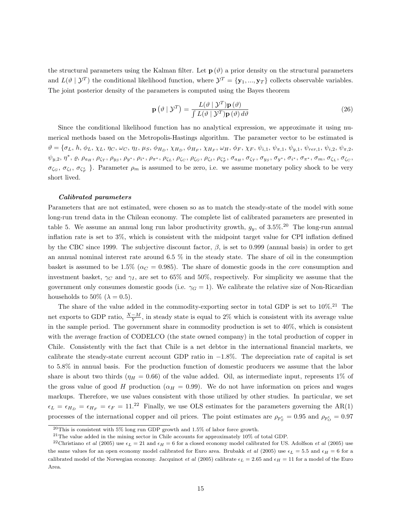the structural parameters using the Kalman filter. Let  $\mathbf{p}(\vartheta)$  a prior density on the structural parameters and  $L(\vartheta | \mathcal{Y}^T)$  the conditional likelihood function, where  $\mathcal{Y}^T = {\mathbf{y}_1, ..., \mathbf{y}_T}$  collects observable variables. The joint posterior density of the parameters is computed using the Bayes theorem

$$
\mathbf{p}\left(\vartheta \mid \mathcal{Y}^{T}\right) = \frac{L(\vartheta \mid \mathcal{Y}^{T})\mathbf{p}\left(\vartheta\right)}{\int L(\vartheta \mid \mathcal{Y}^{T})\mathbf{p}\left(\vartheta\right)d\vartheta}
$$
\n(26)

Since the conditional likelihood function has no analytical expression, we approximate it using numerical methods based on the Metropolis-Hastings algorithm. The parameter vector to be estimated is  $\vartheta = {\sigma_L, h, \phi_L, \chi_L, \eta_C, \omega_C, \eta_I, \mu_S, \phi_{H_D}, \chi_{H_D}, \phi_{H_F}, \chi_{H_F}, \omega_H, \phi_F, \chi_F, \psi_{i,1}, \psi_{\pi,1}, \psi_{y,1}, \psi_{ref,1}, \psi_{i,2}, \psi_{\pi,2}, \phi_{f}$  $\psi_{y,2}, \eta^*, \varrho, \rho_{a_H}, \rho_{\zeta_T}, \rho_{y_S}, \rho_{y^*}, \rho_{i^*}, \rho_{\pi^*}, \rho_{\zeta_L}, \rho_{\zeta_C}, \rho_{\zeta_G}, \rho_{\zeta_I}, \rho_{\zeta_F^*}, \sigma_{a_H}, \sigma_{\zeta_T}, \sigma_{y_S}, \sigma_{y^*}, \sigma_{i^*}, \sigma_{\pi^*}, \sigma_m, \sigma_{\zeta_L}, \sigma_{\zeta_C}, \sigma_{\zeta_R}, \sigma_{\zeta_R}$  $\sigma_{\zeta_G}, \sigma_{\zeta_I}, \sigma_{\zeta_F^*}$  }. Parameter  $\rho_m$  is assumed to be zero, i.e. we assume monetary policy shock to be very short lived.

#### *Calibrated parameters*

Parameters that are not estimated, were chosen so as to match the steady-state of the model with some long-run trend data in the Chilean economy. The complete list of calibrated parameters are presented in table 5. We assume an annual long run labor productivity growth,  $g_y$ , of 3.5%.<sup>20</sup> The long-run annual inflation rate is set to 3%, which is consistent with the midpoint target value for CPI inflation defined by the CBC since 1999. The subjective discount factor,  $\beta$ , is set to 0.999 (annual basis) in order to get an annual nominal interest rate around 6.5 % in the steady state. The share of oil in the consumption basket is assumed to be 1.5% ( $\alpha_C = 0.985$ ). The share of domestic goods in the *core* consumption and investment basket,  $\gamma_c$  and  $\gamma_I$ , are set to 65% and 50%, respectively. For simplicity we assume that the government only consumes domestic goods (i.e.  $\gamma_G = 1$ ). We calibrate the relative size of Non-Ricardian households to 50% ( $\lambda = 0.5$ ).

The share of the value added in the commodity-exporting sector in total GDP is set to 10%.<sup>21</sup> The net exports to GDP ratio,  $\frac{X-M}{Y}$ , in steady state is equal to 2% which is consistent with its average value in the sample period. The government share in commodity production is set to 40%, which is consistent with the average fraction of CODELCO (the state owned company) in the total production of copper in Chile. Consistently with the fact that Chile is a net debtor in the international financial markets, we calibrate the steady-state current account GDP ratio in  $-1.8\%$ . The depreciation rate of capital is set to 5.8% in annual basis. For the production function of domestic producers we assume that the labor share is about two thirds ( $\eta_H = 0.66$ ) of the value added. Oil, as intermediate input, represents 1% of the gross value of good H production ( $\alpha_H = 0.99$ ). We do not have information on prices and wages markups. Therefore, we use values consistent with those utilized by other studies. In particular, we set  $\epsilon_L = \epsilon_{H_D} = \epsilon_{H_F} = \epsilon_F = 11.22$  Finally, we use OLS estimates for the parameters governing the AR(1) processes of the international copper and oil prices. The point estimates are  $\rho_{p^*_S} = 0.95$  and  $\rho_{p^*_O} = 0.97$ 

 $^{20}\mathrm{This}$  is consistent with 5% long run GDP growth and 1.5% of labor force growth.

<sup>21</sup>The value added in the mining sector in Chile accounts for approximately 10% of total GDP.

<sup>&</sup>lt;sup>22</sup>Christiano et al (2005) use  $\epsilon_L = 21$  and  $\epsilon_H = 6$  for a closed economy model calibrated for US. Adolfson et al (2005) use the same values for an open economy model calibrated for Euro area. Brubakk *et al* (2005) use  $\epsilon_L = 5.5$  and  $\epsilon_H = 6$  for a calibrated model of the Norwegian economy. Jacquinot *et al* (2005) calibrate  $\epsilon_L = 2.65$  and  $\epsilon_H = 11$  for a model of the Euro Area.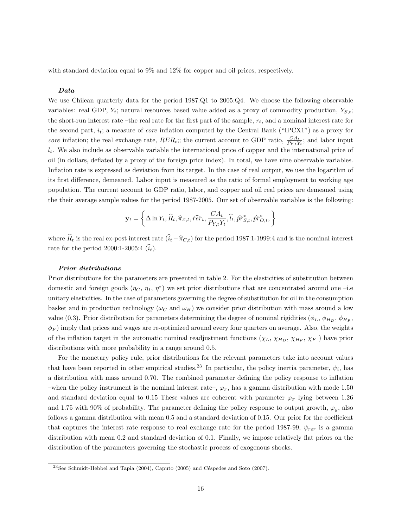with standard deviation equal to 9% and 12% for copper and oil prices, respectively.

#### *Data*

We use Chilean quarterly data for the period 1987:Q1 to 2005:Q4. We choose the following observable variables: real GDP,  $Y_t$ ; natural resources based value added as a proxy of commodity production,  $Y_{S,t}$ ; the short-run interest rate –the real rate for the first part of the sample,  $r_t$ , and a nominal interest rate for the second part,  $i_t$ ; a measure of *core* inflation computed by the Central Bank ("IPCX1") as a proxy for *core* inflation; the real exchange rate,  $RER_t$ ;; the current account to GDP ratio,  $\frac{CA_t}{P_{Y,t}Y_t}$ ; and labor input  $l_t$ . We also include as observable variable the international price of copper and the international price of oil (in dollars, deflated by a proxy of the foreign price index). In total, we have nine observable variables. Inflation rate is expressed as deviation from its target. In the case of real output, we use the logarithm of its first difference, demeaned. Labor input is measured as the ratio of formal employment to working age population. The current account to GDP ratio, labor, and copper and oil real prices are demeaned using the their average sample values for the period 1987-2005. Our set of observable variables is the following:

$$
\mathbf{y}_t = \left\{ \Delta \ln Y_t, \widehat{R}_t, \widehat{\pi}_{Z,t}, \widehat{r}\widehat{e}r_t, \frac{CA_t}{P_{Y,t}Y_t}, \widehat{l}_t, \widehat{pr}_{S,t}^*, \widehat{pr}_{O,t}^*, \right\}
$$

where  $\widehat{R}_t$  is the real ex-post interest rate  $(\widehat{i}_t-\widehat{\pi}_{C,t})$  for the period 1987:1-1999:4 and is the nominal interest rate for the period 2000:1-2005:4  $(\hat{i}_t)$ .

#### *Prior distributions*

Prior distributions for the parameters are presented in table 2. For the elasticities of substitution between domestic and foreign goods  $(\eta_C, \eta_I, \eta^*)$  we set prior distributions that are concentrated around one –i.e unitary elasticities. In the case of parameters governing the degree of substitution for oil in the consumption basket and in production technology ( $\omega_C$  and  $\omega_H$ ) we consider prior distribution with mass around a low value (0.3). Prior distribution for parameters determining the degree of nominal rigidities ( $\phi_L$ ,  $\phi_{H_D}$ ,  $\phi_{H_F}$ ,  $\phi_F$ ) imply that prices and wages are re-optimized around every four quarters on average. Also, the weights of the inflation target in the automatic nominal readjustment functions  $(\chi_L, \chi_{H_D}, \chi_{H_F}, \chi_F)$  have prior distributions with more probability in a range around 0.5.

For the monetary policy rule, prior distributions for the relevant parameters take into account values that have been reported in other empirical studies.<sup>23</sup> In particular, the policy inertia parameter,  $\psi_i$ , has a distribution with mass around 0.70. The combined parameter defining the policy response to inflation –when the policy instrument is the nominal interest rate–,  $\varphi_{\pi}$ , has a gamma distribution with mode 1.50 and standard deviation equal to 0.15 These values are coherent with parameter  $\varphi_{\pi}$  lying between 1.26 and 1.75 with 90% of probability. The parameter defining the policy response to output growth,  $\varphi_y$ , also follows a gamma distribution with mean 0.5 and a standard deviation of 0.15. Our prior for the coefficient that captures the interest rate response to real exchange rate for the period 1987-99,  $\psi_{rer}$  is a gamma distribution with mean 0.2 and standard deviation of 0.1. Finally, we impose relatively flat priors on the distribution of the parameters governing the stochastic process of exogenous shocks.

 $^{23}$ See Schmidt-Hebbel and Tapia (2004), Caputo (2005) and Céspedes and Soto (2007).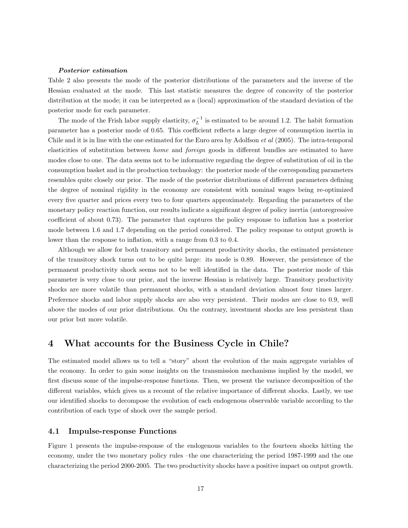#### *Posterior estimation*

Table 2 also presents the mode of the posterior distributions of the parameters and the inverse of the Hessian evaluated at the mode. This last statistic measures the degree of concavity of the posterior distribution at the mode; it can be interpreted as a (local) approximation of the standard deviation of the posterior mode for each parameter.

The mode of the Frish labor supply elasticity,  $\sigma_L^{-1}$  is estimated to be around 1.2. The habit formation parameter has a posterior mode of 0.65. This coefficient reflects a large degree of consumption inertia in Chile and it is in line with the one estimated for the Euro area by Adolfson et al (2005). The intra-temporal elasticities of substitution between home and foreign goods in different bundles are estimated to have modes close to one. The data seems not to be informative regarding the degree of substitution of oil in the consumption basket and in the production technology: the posterior mode of the corresponding parameters resembles quite closely our prior. The mode of the posterior distributions of different parameters defining the degree of nominal rigidity in the economy are consistent with nominal wages being re-optimized every five quarter and prices every two to four quarters approximately. Regarding the parameters of the monetary policy reaction function, our results indicate a significant degree of policy inertia (autoregressive coefficient of about 0.73). The parameter that captures the policy response to inflation has a posterior mode between 1.6 and 1.7 depending on the period considered. The policy response to output growth is lower than the response to inflation, with a range from 0.3 to 0.4.

Although we allow for both transitory and permanent productivity shocks, the estimated persistence of the transitory shock turns out to be quite large: its mode is 0.89. However, the persistence of the permanent productivity shock seems not to be well identified in the data. The posterior mode of this parameter is very close to our prior, and the inverse Hessian is relatively large. Transitory productivity shocks are more volatile than permanent shocks, with a standard deviation almost four times larger. Preference shocks and labor supply shocks are also very persistent. Their modes are close to 0.9, well above the modes of our prior distributions. On the contrary, investment shocks are less persistent than our prior but more volatile.

### **4 What accounts for the Business Cycle in Chile?**

The estimated model allows us to tell a "story" about the evolution of the main aggregate variables of the economy. In order to gain some insights on the transmission mechanisms implied by the model, we first discuss some of the impulse-response functions. Then, we present the variance decomposition of the different variables, which gives us a recount of the relative importance of different shocks. Lastly, we use our identified shocks to decompose the evolution of each endogenous observable variable according to the contribution of each type of shock over the sample period.

#### **4.1 Impulse-response Functions**

Figure 1 presents the impulse-response of the endogenous variables to the fourteen shocks hitting the economy, under the two monetary policy rules –the one characterizing the period 1987-1999 and the one characterizing the period 2000-2005. The two productivity shocks have a positive impact on output growth.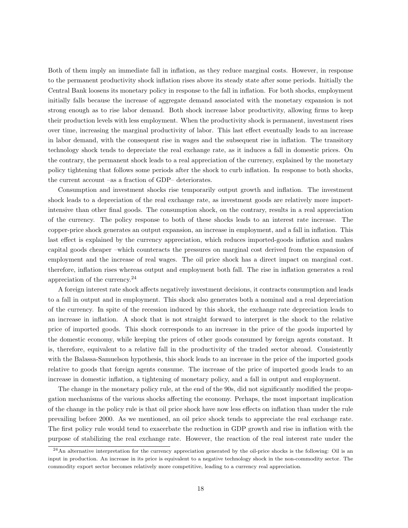Both of them imply an immediate fall in inflation, as they reduce marginal costs. However, in response to the permanent productivity shock inflation rises above its steady state after some periods. Initially the Central Bank loosens its monetary policy in response to the fall in inflation. For both shocks, employment initially falls because the increase of aggregate demand associated with the monetary expansion is not strong enough as to rise labor demand. Both shock increase labor productivity, allowing firms to keep their production levels with less employment. When the productivity shock is permanent, investment rises over time, increasing the marginal productivity of labor. This last effect eventually leads to an increase in labor demand, with the consequent rise in wages and the subsequent rise in inflation. The transitory technology shock tends to depreciate the real exchange rate, as it induces a fall in domestic prices. On the contrary, the permanent shock leads to a real appreciation of the currency, explained by the monetary policy tightening that follows some periods after the shock to curb inflation. In response to both shocks, the current account –as a fraction of GDP– deteriorates.

Consumption and investment shocks rise temporarily output growth and inflation. The investment shock leads to a depreciation of the real exchange rate, as investment goods are relatively more importintensive than other final goods. The consumption shock, on the contrary, results in a real appreciation of the currency. The policy response to both of these shocks leads to an interest rate increase. The copper-price shock generates an output expansion, an increase in employment, and a fall in inflation. This last effect is explained by the currency appreciation, which reduces imported-goods inflation and makes capital goods cheaper –which counteracts the pressures on marginal cost derived from the expansion of employment and the increase of real wages. The oil price shock has a direct impact on marginal cost. therefore, inflation rises whereas output and employment both fall. The rise in inflation generates a real appreciation of the currency.<sup>24</sup>

A foreign interest rate shock affects negatively investment decisions, it contracts consumption and leads to a fall in output and in employment. This shock also generates both a nominal and a real depreciation of the currency. In spite of the recession induced by this shock, the exchange rate depreciation leads to an increase in inflation. A shock that is not straight forward to interpret is the shock to the relative price of imported goods. This shock corresponds to an increase in the price of the goods imported by the domestic economy, while keeping the prices of other goods consumed by foreign agents constant. It is, therefore, equivalent to a relative fall in the productivity of the traded sector abroad. Consistently with the Balassa-Samuelson hypothesis, this shock leads to an increase in the price of the imported goods relative to goods that foreign agents consume. The increase of the price of imported goods leads to an increase in domestic inflation, a tightening of monetary policy, and a fall in output and employment.

The change in the monetary policy rule, at the end of the 90s, did not significantly modified the propagation mechanisms of the various shocks affecting the economy. Perhaps, the most important implication of the change in the policy rule is that oil price shock have now less effects on inflation than under the rule prevailing before 2000. As we mentioned, an oil price shock tends to appreciate the real exchange rate. The first policy rule would tend to exacerbate the reduction in GDP growth and rise in inflation with the purpose of stabilizing the real exchange rate. However, the reaction of the real interest rate under the

 $24$ An alternative interpretation for the currency appreciation generated by the oil-price shocks is the following: Oil is an input in production. An increase in its price is equivalent to a negative technology shock in the non-commodity sector. The commodity export sector becomes relatively more competitive, leading to a currency real appreciation.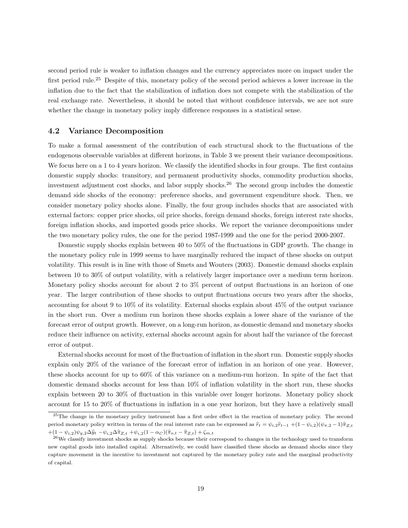second period rule is weaker to inflation changes and the currency appreciates more on impact under the first period rule.<sup>25</sup> Despite of this, monetary policy of the second period achieves a lower increase in the inflation due to the fact that the stabilization of inflation does not compete with the stabilization of the real exchange rate. Nevertheless, it should be noted that without confidence intervals, we are not sure whether the change in monetary policy imply difference responses in a statistical sense.

#### **4.2 Variance Decomposition**

To make a formal assessment of the contribution of each structural shock to the fluctuations of the endogenous observable variables at different horizons, in Table 3 we present their variance decompositions. We focus here on a 1 to 4 years horizon. We classify the identified shocks in four groups. The first contains domestic supply shocks: transitory, and permanent productivity shocks, commodity production shocks, investment adjustment cost shocks, and labor supply shocks.<sup>26</sup> The second group includes the domestic demand side shocks of the economy: preference shocks, and government expenditure shock. Then, we consider monetary policy shocks alone. Finally, the four group includes shocks that are associated with external factors: copper price shocks, oil price shocks, foreign demand shocks, foreign interest rate shocks, foreign inflation shocks, and imported goods price shocks. We report the variance decompositions under the two monetary policy rules, the one for the period 1987-1999 and the one for the period 2000-2007.

Domestic supply shocks explain between 40 to 50% of the fluctuations in GDP growth. The change in the monetary policy rule in 1999 seems to have marginally reduced the impact of these shocks on output volatility. This result is in line with those of Smets and Wouters (2003). Domestic demand shocks explain between 10 to 30% of output volatility, with a relatively larger importance over a medium term horizon. Monetary policy shocks account for about 2 to 3% percent of output fluctuations in an horizon of one year. The larger contribution of these shocks to output fluctuations occurs two years after the shocks, accounting for about 9 to 10% of its volatility. External shocks explain about 45% of the output variance in the short run. Over a medium run horizon these shocks explain a lower share of the variance of the forecast error of output growth. However, on a long-run horizon, as domestic demand and monetary shocks reduce their influence on activity, external shocks account again for about half the variance of the forecast error of output.

External shocks account for most of the fluctuation of inflation in the short run. Domestic supply shocks explain only 20% of the variance of the forecast error of inflation in an horizon of one year. However, these shocks account for up to 60% of this variance on a medium-run horizon. In spite of the fact that domestic demand shocks account for less than 10% of inflation volatility in the short run, these shocks explain between 20 to 30% of fluctuation in this variable over longer horizons. Monetary policy shock account for 15 to 20% of fluctuations in inflation in a one year horizon, but they have a relatively small

<sup>&</sup>lt;sup>25</sup>The change in the monetary policy instrument has a first order effect in the reaction of monetary policy. The second period monetary policy written in terms of the real interest rate can be expressed as  $\hat{r}_t = \psi_{i,2}\hat{r}_{t-1} + (1 - \psi_{i,2})(\psi_{\pi,2} - 1)\hat{\pi}_{Z,t}$  $+(1 - \psi_{i,2})\psi_{y,2}\Delta \hat{y}_t - \psi_{i,2}\Delta \hat{\pi}_{Z,t} + \psi_{i,2}(1 - \alpha_C)(\hat{\pi}_{o,t} - \hat{\pi}_{Z,t}) + \zeta_{m,t}$ 

 $^{26}$ We classify investment shocks as supply shocks because their correspond to changes in the technology used to transform new capital goods into installed capital. Alternatively, we could have classified these shocks as demand shocks since they capture movement in the incentive to investment not captured by the monetary policy rate and the marginal productivity of capital.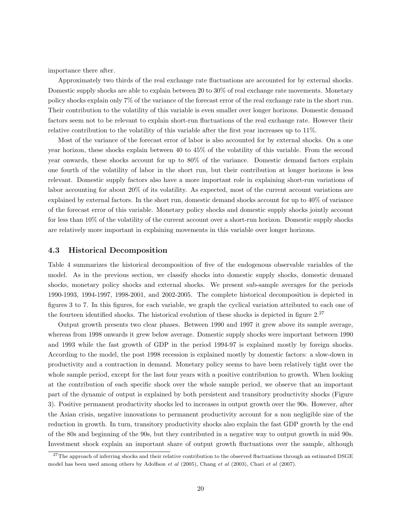importance there after.

Approximately two thirds of the real exchange rate fluctuations are accounted for by external shocks. Domestic supply shocks are able to explain between 20 to 30% of real exchange rate movements. Monetary policy shocks explain only 7% of the variance of the forecast error of the real exchange rate in the short run. Their contribution to the volatility of this variable is even smaller over longer horizons. Domestic demand factors seem not to be relevant to explain short-run fluctuations of the real exchange rate. However their relative contribution to the volatility of this variable after the first year increases up to 11%.

Most of the variance of the forecast error of labor is also accounted for by external shocks. On a one year horizon, these shocks explain between 40 to 45% of the volatility of this variable. From the second year onwards, these shocks account for up to 80% of the variance. Domestic demand factors explain one fourth of the volatility of labor in the short run, but their contribution at longer horizons is less relevant. Domestic supply factors also have a more important role in explaining short-run variations of labor accounting for about 20% of its volatility. As expected, most of the current account variations are explained by external factors. In the short run, domestic demand shocks account for up to 40% of variance of the forecast error of this variable. Monetary policy shocks and domestic supply shocks jointly account for less than 10% of the volatility of the current account over a short-run horizon. Domestic supply shocks are relatively more important in explaining movements in this variable over longer horizons.

#### **4.3 Historical Decomposition**

Table 4 summarizes the historical decomposition of five of the endogenous observable variables of the model. As in the previous section, we classify shocks into domestic supply shocks, domestic demand shocks, monetary policy shocks and external shocks. We present sub-sample averages for the periods 1990-1993, 1994-1997, 1998-2001, and 2002-2005. The complete historical decomposition is depicted in figures 3 to 7. In this figures, for each variable, we graph the cyclical variation attributed to each one of the fourteen identified shocks. The historical evolution of these shocks is depicted in figure  $2.27$ 

Output growth presents two clear phases. Between 1990 and 1997 it grew above its sample average, whereas from 1998 onwards it grew below average. Domestic supply shocks were important between 1990 and 1993 while the fast growth of GDP in the period 1994-97 is explained mostly by foreign shocks. According to the model, the post 1998 recession is explained mostly by domestic factors: a slow-down in productivity and a contraction in demand. Monetary policy seems to have been relatively tight over the whole sample period, except for the last four years with a positive contribution to growth. When looking at the contribution of each specific shock over the whole sample period, we observe that an important part of the dynamic of output is explained by both persistent and transitory productivity shocks (Figure 3). Positive permanent productivity shocks led to increases in output growth over the 90s. However, after the Asian crisis, negative innovations to permanent productivity account for a non negligible size of the reduction in growth. In turn, transitory productivity shocks also explain the fast GDP growth by the end of the 80s and beginning of the 90s, but they contributed in a negative way to output growth in mid 90s. Investment shock explain an important share of output growth fluctuations over the sample, although

<sup>&</sup>lt;sup>27</sup>The approach of inferring shocks and their relative contribution to the observed fluctuations through an estimated DSGE model has been used among others by Adolfson et al (2005), Chang et al (2003), Chari et al (2007).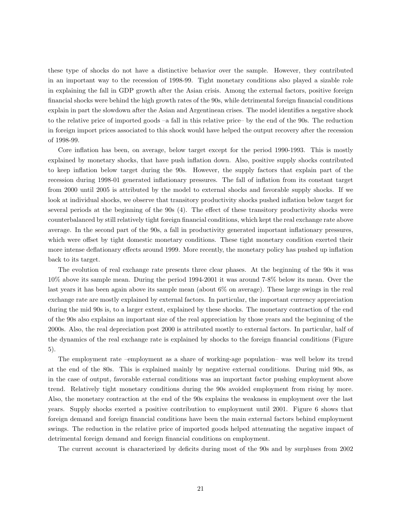these type of shocks do not have a distinctive behavior over the sample. However, they contributed in an important way to the recession of 1998-99. Tight monetary conditions also played a sizable role in explaining the fall in GDP growth after the Asian crisis. Among the external factors, positive foreign financial shocks were behind the high growth rates of the 90s, while detrimental foreign financial conditions explain in part the slowdown after the Asian and Argentinean crises. The model identifies a negative shock to the relative price of imported goods –a fall in this relative price– by the end of the 90s. The reduction in foreign import prices associated to this shock would have helped the output recovery after the recession of 1998-99.

Core inflation has been, on average, below target except for the period 1990-1993. This is mostly explained by monetary shocks, that have push inflation down. Also, positive supply shocks contributed to keep inflation below target during the 90s. However, the supply factors that explain part of the recession during 1998-01 generated inflationary pressures. The fall of inflation from its constant target from 2000 until 2005 is attributed by the model to external shocks and favorable supply shocks. If we look at individual shocks, we observe that transitory productivity shocks pushed inflation below target for several periods at the beginning of the 90s (4). The effect of these transitory productivity shocks were counterbalanced by still relatively tight foreign financial conditions, which kept the real exchange rate above average. In the second part of the 90s, a fall in productivity generated important inflationary pressures, which were offset by tight domestic monetary conditions. These tight monetary condition exerted their more intense deflationary effects around 1999. More recently, the monetary policy has pushed up inflation back to its target.

The evolution of real exchange rate presents three clear phases. At the beginning of the 90s it was 10% above its sample mean. During the period 1994-2001 it was around 7-8% below its mean. Over the last years it has been again above its sample mean (about 6% on average). These large swings in the real exchange rate are mostly explained by external factors. In particular, the important currency appreciation during the mid 90s is, to a larger extent, explained by these shocks. The monetary contraction of the end of the 90s also explains an important size of the real appreciation by those years and the beginning of the 2000s. Also, the real depreciation post 2000 is attributed mostly to external factors. In particular, half of the dynamics of the real exchange rate is explained by shocks to the foreign financial conditions (Figure 5).

The employment rate –employment as a share of working-age population– was well below its trend at the end of the 80s. This is explained mainly by negative external conditions. During mid 90s, as in the case of output, favorable external conditions was an important factor pushing employment above trend. Relatively tight monetary conditions during the 90s avoided employment from rising by more. Also, the monetary contraction at the end of the 90s explains the weakness in employment over the last years. Supply shocks exerted a positive contribution to employment until 2001. Figure 6 shows that foreign demand and foreign financial conditions have been the main external factors behind employment swings. The reduction in the relative price of imported goods helped attenuating the negative impact of detrimental foreign demand and foreign financial conditions on employment.

The current account is characterized by deficits during most of the 90s and by surpluses from 2002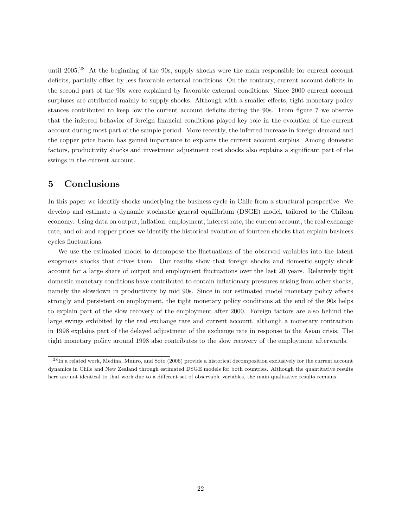until 2005.<sup>28</sup> At the beginning of the 90s, supply shocks were the main responsible for current account deficits, partially offset by less favorable external conditions. On the contrary, current account deficits in the second part of the 90s were explained by favorable external conditions. Since 2000 current account surpluses are attributed mainly to supply shocks. Although with a smaller effects, tight monetary policy stances contributed to keep low the current account deficits during the 90s. From figure 7 we observe that the inferred behavior of foreign financial conditions played key role in the evolution of the current account during most part of the sample period. More recently, the inferred increase in foreign demand and the copper price boom has gained importance to explains the current account surplus. Among domestic factors, productivity shocks and investment adjustment cost shocks also explains a significant part of the swings in the current account.

## **5 Conclusions**

In this paper we identify shocks underlying the business cycle in Chile from a structural perspective. We develop and estimate a dynamic stochastic general equilibrium (DSGE) model, tailored to the Chilean economy. Using data on output, inflation, employment, interest rate, the current account, the real exchange rate, and oil and copper prices we identify the historical evolution of fourteen shocks that explain business cycles fluctuations.

We use the estimated model to decompose the fluctuations of the observed variables into the latent exogenous shocks that drives them. Our results show that foreign shocks and domestic supply shock account for a large share of output and employment fluctuations over the last 20 years. Relatively tight domestic monetary conditions have contributed to contain inflationary pressures arising from other shocks, namely the slowdown in productivity by mid 90s. Since in our estimated model monetary policy affects strongly and persistent on employment, the tight monetary policy conditions at the end of the 90s helps to explain part of the slow recovery of the employment after 2000. Foreign factors are also behind the large swings exhibited by the real exchange rate and current account, although a monetary contraction in 1998 explains part of the delayed adjustment of the exchange rate in response to the Asian crisis. The tight monetary policy around 1998 also contributes to the slow recovery of the employment afterwards.

<sup>28</sup>In a related work, Medina, Munro, and Soto (2006) provide a historical decomposition exclusively for the current account dynamics in Chile and New Zealand through estimated DSGE models for both countries. Although the quantitative results here are not identical to that work due to a different set of observable variables, the main qualitative results remains.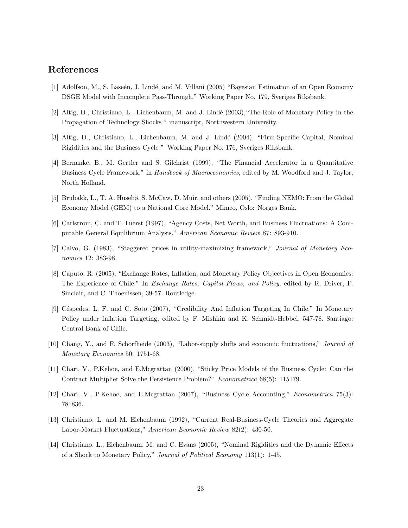## **References**

- [1] Adolfson, M., S. Laseén, J. Lindé, and M. Villani (2005) "Bayesian Estimation of an Open Economy DSGE Model with Incomplete Pass-Through," Working Paper No. 179, Sveriges Riksbank.
- [2] Altig, D., Christiano, L., Eichenbaum, M. and J. Lind´e (2003),"The Role of Monetary Policy in the Propagation of Technology Shocks " manuscript, Northwestern University.
- [3] Altig, D., Christiano, L., Eichenbaum, M. and J. Lindé (2004), "Firm-Specific Capital, Nominal Rigidities and the Business Cycle " Working Paper No. 176, Sveriges Riksbank.
- [4] Bernanke, B., M. Gertler and S. Gilchrist (1999), "The Financial Accelerator in a Quantitative Business Cycle Framework," in Handbook of Macroeconomics, edited by M. Woodford and J. Taylor, North Holland.
- [5] Brubakk, L., T. A. Husebø, S. McCaw, D. Muir, and others (2005), "Finding NEMO: From the Global Economy Model (GEM) to a National Core Model." Mimeo, Oslo: Norges Bank.
- [6] Carlstrom, C. and T. Fuerst (1997), "Agency Costs, Net Worth, and Business Fluctuations: A Computable General Equilibrium Analysis," American Economic Review 87: 893-910.
- [7] Calvo, G. (1983), "Staggered prices in utility-maximizing framework," Journal of Monetary Economics 12: 383-98.
- [8] Caputo, R. (2005), "Exchange Rates, Inflation, and Monetary Policy Objectives in Open Economies: The Experience of Chile." In Exchange Rates, Capital Flows, and Policy, edited by R. Driver, P. Sinclair, and C. Thoenissen, 39-57. Routledge.
- [9] Céspedes, L. F. and C. Soto (2007), "Credibility And Inflation Targeting In Chile." In Monetary Policy under Inflation Targeting, edited by F. Mishkin and K. Schmidt-Hebbel, 547-78. Santiago: Central Bank of Chile.
- [10] Chang, Y., and F. Schorfheide (2003), "Labor-supply shifts and economic fluctuations," Journal of Monetary Economics 50: 1751-68.
- [11] Chari, V., P.Kehoe, and E.Mcgrattan (2000), "Sticky Price Models of the Business Cycle: Can the Contract Multiplier Solve the Persistence Problem?" Econometrica 68(5): 115179.
- [12] Chari, V., P.Kehoe, and E.Mcgrattan (2007), "Business Cycle Accounting," Econometrica 75(3): 781836.
- [13] Christiano, L. and M. Eichenbaum (1992), "Current Real-Business-Cycle Theories and Aggregate Labor-Market Fluctuations," American Economic Review 82(2): 430-50.
- [14] Christiano, L., Eichenbaum, M. and C. Evans (2005), "Nominal Rigidities and the Dynamic Effects of a Shock to Monetary Policy," Journal of Political Economy 113(1): 1-45.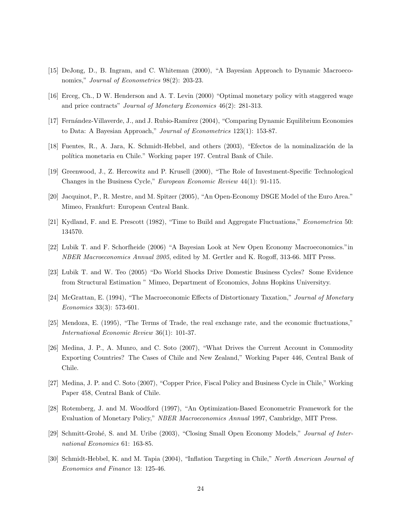- [15] DeJong, D., B. Ingram, and C. Whiteman (2000), "A Bayesian Approach to Dynamic Macroeconomics," Journal of Econometrics 98(2): 203-23.
- [16] Erceg, Ch., D W. Henderson and A. T. Levin (2000) "Optimal monetary policy with staggered wage and price contracts" Journal of Monetary Economics 46(2): 281-313.
- [17] Fernández-Villaverde, J., and J. Rubio-Ramírez (2004), "Comparing Dynamic Equilibrium Economies to Data: A Bayesian Approach," Journal of Econometrics 123(1): 153-87.
- [18] Fuentes, R., A. Jara, K. Schmidt-Hebbel, and others (2003), "Efectos de la nominalización de la política monetaria en Chile." Working paper 197. Central Bank of Chile.
- [19] Greenwood, J., Z. Hercowitz and P. Krusell (2000), "The Role of Investment-Specific Technological Changes in the Business Cycle," European Economic Review 44(1): 91-115.
- [20] Jacquinot, P., R. Mestre, and M. Spitzer (2005), "An Open-Economy DSGE Model of the Euro Area." Mimeo, Frankfurt: European Central Bank.
- [21] Kydland, F. and E. Prescott (1982), "Time to Build and Aggregate Fluctuations," Econometrica 50: 134570.
- [22] Lubik T. and F. Schorfheide (2006) "A Bayesian Look at New Open Economy Macroeconomics."in NBER Macroeconomics Annual 2005, edited by M. Gertler and K. Rogoff, 313-66. MIT Press.
- [23] Lubik T. and W. Teo (2005) "Do World Shocks Drive Domestic Business Cycles? Some Evidence from Structural Estimation " Mimeo, Department of Economics, Johns Hopkins Universityy.
- [24] McGrattan, E. (1994), "The Macroeconomic Effects of Distortionary Taxation," Journal of Monetary Economics 33(3): 573-601.
- [25] Mendoza, E. (1995), "The Terms of Trade, the real exchange rate, and the economic fluctuations," International Economic Review 36(1): 101-37.
- [26] Medina, J. P., A. Munro, and C. Soto (2007), "What Drives the Current Account in Commodity Exporting Countries? The Cases of Chile and New Zealand," Working Paper 446, Central Bank of Chile.
- [27] Medina, J. P. and C. Soto (2007), "Copper Price, Fiscal Policy and Business Cycle in Chile," Working Paper 458, Central Bank of Chile.
- [28] Rotemberg, J. and M. Woodford (1997), "An Optimization-Based Econometric Framework for the Evaluation of Monetary Policy," NBER Macroeconomics Annual 1997, Cambridge, MIT Press.
- [29] Schmitt-Grohé, S. and M. Uribe (2003), "Closing Small Open Economy Models," Journal of International Economics 61: 163-85.
- [30] Schmidt-Hebbel, K. and M. Tapia (2004), "Inflation Targeting in Chile," North American Journal of Economics and Finance 13: 125-46.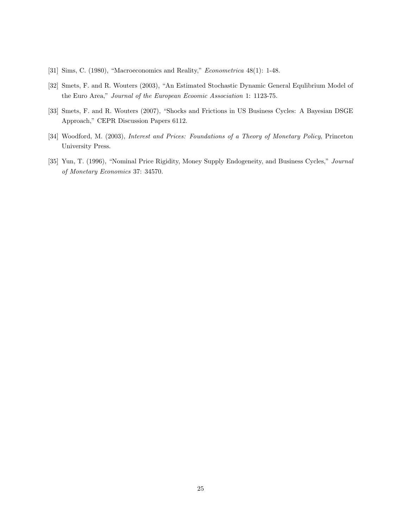- [31] Sims, C. (1980), "Macroeconomics and Reality," Econometrica 48(1): 1-48.
- [32] Smets, F. and R. Wouters (2003), "An Estimated Stochastic Dynamic General Equlibrium Model of the Euro Area," Journal of the European Ecoomic Association 1: 1123-75.
- [33] Smets, F. and R. Wouters (2007), "Shocks and Frictions in US Business Cycles: A Bayesian DSGE Approach," CEPR Discussion Papers 6112.
- [34] Woodford, M. (2003), Interest and Prices: Foundations of a Theory of Monetary Policy, Princeton University Press.
- [35] Yun, T. (1996), "Nominal Price Rigidity, Money Supply Endogeneity, and Business Cycles," Journal of Monetary Economics 37: 34570.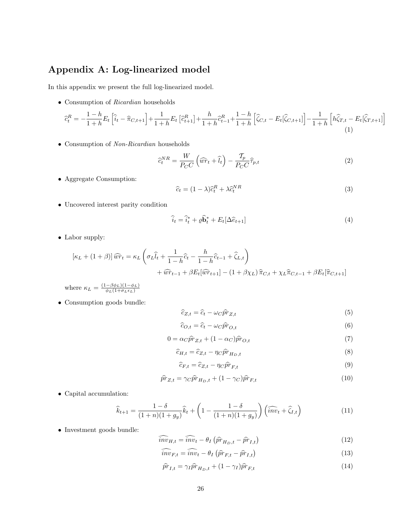## **Appendix A: Log-linearized model**

In this appendix we present the full log-linearized model.

• Consumption of Ricardian households

$$
\hat{c}_t^R = -\frac{1-h}{1+h} E_t \left[ \hat{i}_t - \hat{\pi}_{C,t+1} \right] + \frac{1}{1+h} E_t \left[ \hat{c}_{t+1}^R \right] + \frac{h}{1+h} \hat{c}_{t-1}^R + \frac{1-h}{1+h} \left[ \hat{\zeta}_{C,t} - E_t \left[ \hat{\zeta}_{C,t+1} \right] \right] - \frac{1}{1+h} \left[ h \hat{\zeta}_{T,t} - E_t \left[ \hat{\zeta}_{T,t+1} \right] \right] \tag{1}
$$

• Consumption of Non-Ricardian households

$$
\widehat{c}_t^{NR} = \frac{W}{P_C C} \left( \widehat{w} \widehat{r}_t + \widehat{l}_t \right) - \frac{\mathcal{T}_p}{P_C C} \widehat{\tau}_{p,t} \tag{2}
$$

• Aggregate Consumption:

$$
\hat{c}_t = (1 - \lambda)\hat{c}_t^R + \lambda \hat{c}_t^{NR}
$$
\n(3)

1

• Uncovered interest parity condition

$$
\hat{i}_t = \hat{i}_t^* + \varrho \hat{\mathbf{b}}_t^* + E_t[\Delta \hat{e}_{t+1}] \tag{4}
$$

• Labor supply:

$$
[\kappa_L + (1+\beta)] \widehat{wr}_t = \kappa_L \left( \sigma_L \widehat{l}_t + \frac{1}{1-h} \widehat{c}_t - \frac{h}{1-h} \widehat{c}_{t-1} + \widehat{\zeta}_{L,t} \right) + \widehat{wr}_{t-1} + \beta E_t [\widehat{wr}_{t+1}] - (1+\beta \chi_L) \widehat{\pi}_{C,t} + \chi_L \widehat{\pi}_{C,t-1} + \beta E_t [\widehat{\pi}_{C,t+1}]
$$

where  $\kappa_L = \frac{(1 - \beta \phi_L)(1 - \phi_L)}{\phi_L(1 + \sigma_L \epsilon_L)}$ 

• Consumption goods bundle:

$$
\hat{c}_{Z,t} = \hat{c}_t - \omega_C \hat{pr}_{Z,t} \tag{5}
$$

$$
\widehat{c}_{O,t} = \widehat{c}_t - \omega_C \widehat{pr}_{O,t} \tag{6}
$$

$$
0 = \alpha_C \hat{pr}_{Z,t} + (1 - \alpha_C) \hat{pr}_{O,t}
$$
\n<sup>(7)</sup>

$$
\widehat{c}_{H,t} = \widehat{c}_{Z,t} - \eta_C \widehat{pr}_{H_D,t} \tag{8}
$$

$$
\hat{c}_{F,t} = \hat{c}_{Z,t} - \eta_C \hat{pr}_{F,t} \tag{9}
$$

$$
\hat{pr}_{Z,t} = \gamma_C \hat{pr}_{H_D,t} + (1 - \gamma_C) \hat{pr}_{F,t} \tag{10}
$$

• Capital accumulation:

$$
\widehat{k}_{t+1} = \frac{1 - \delta}{(1 + n)(1 + g_y)} \widehat{k}_t + \left(1 - \frac{1 - \delta}{(1 + n)(1 + g_y)}\right) \left(\widehat{inv}_t + \widehat{\zeta}_{I,t}\right) \tag{11}
$$

• Investment goods bundle:

$$
\widehat{inv}_{H,t} = \widehat{inv}_t - \theta_I \left( \widehat{pr}_{H_D,t} - \widehat{pr}_{I,t} \right) \tag{12}
$$

$$
\widehat{inv}_{F,t} = \widehat{inv}_t - \theta_I \left( \widehat{pr}_{F,t} - \widehat{pr}_{I,t} \right) \tag{13}
$$

$$
\hat{pr}_{I,t} = \gamma_I \hat{pr}_{H_D,t} + (1 - \gamma_I) \hat{pr}_{F,t} \tag{14}
$$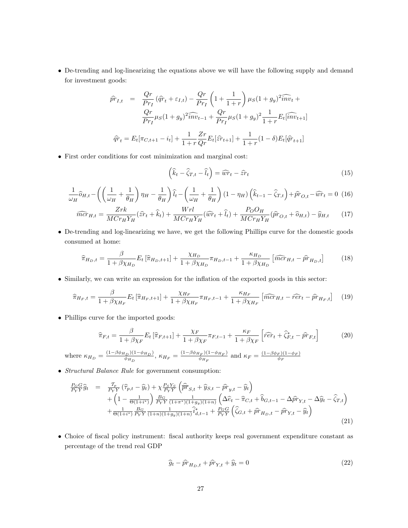• De-trending and log-linearizing the equations above we will have the following supply and demand for investment goods:

$$
\hat{pr}_{I,t} = \frac{Qr}{Pr_I} (\hat{qr}_t + \varepsilon_{I,t}) - \frac{Qr}{Pr_I} \left( 1 + \frac{1}{1+r} \right) \mu_S (1+g_y)^2 \hat{i} \hat{n} \hat{v}_t +
$$
\n
$$
\frac{Qr}{Pr_I} \mu_S (1+g_y)^2 \hat{i} \hat{n} \hat{v}_{t-1} + \frac{Qr}{Pr_I} \mu_S (1+g_y)^2 \frac{1}{1+r} E_t [\hat{i} \hat{n} \hat{v}_{t+1}]
$$
\n
$$
\hat{qr}_t = E_t [\pi_{C,t+1} - i_t] + \frac{1}{1+r} \frac{Zr}{Qr} E_t [\hat{z} \hat{r}_{t+1}] + \frac{1}{1+r} (1-\delta) E_t [\hat{q} \hat{r}_{t+1}]
$$

• First order conditions for cost minimization and marginal cost:

$$
\left(\hat{k}_t - \hat{\zeta}_{T,t} - \hat{l}_t\right) = \widehat{wr}_t - \widehat{z}r_t
$$
\n(15)

$$
\frac{1}{\omega_H} \widehat{\omega}_{H,t} - \left( \left( \frac{1}{\omega_H} + \frac{1}{\theta_H} \right) \eta_H - \frac{1}{\theta_H} \right) \widehat{l}_t - \left( \frac{1}{\omega_H} + \frac{1}{\theta_H} \right) (1 - \eta_H) \left( \widehat{k}_{t-1} - \widehat{\zeta}_{T,t} \right) + \widehat{pr}_{O,t} - \widehat{wr}_t = 0 \tag{16}
$$

$$
\widehat{mcr}_{H,t} = \frac{Zrk}{MCr_HY_H}(\widehat{z}r_t + \widehat{k}_t) + \frac{Wrl}{MCr_HY_H}(\widehat{wr}_t + \widehat{l}_t) + \frac{P_OO_H}{MCr_HY_H}(\widehat{pr}_{O,t} + \widehat{o}_{H,t}) - \widehat{y}_{H,t} \tag{17}
$$

• De-trending and log-linearizing we have, we get the following Phillips curve for the domestic goods consumed at home:

$$
\hat{\pi}_{H_D,t} = \frac{\beta}{1 + \beta \chi_{H_D}} E_t \left[ \hat{\pi}_{H_D,t+1} \right] + \frac{\chi_{H_D}}{1 + \beta \chi_{H_D}} \pi_{H_D,t-1} + \frac{\kappa_{H_D}}{1 + \beta \chi_{H_D}} \left[ \hat{m} \hat{c} r_{H,t} - \hat{p} r_{H_D,t} \right]
$$
(18)

• Similarly, we can write an expression for the inflation of the exported goods in this sector:

$$
\widehat{\pi}_{H_F,t} = \frac{\beta}{1 + \beta \chi_{H_F}} E_t \left[ \widehat{\pi}_{H_F,t+1} \right] + \frac{\chi_{H_F}}{1 + \beta \chi_{H_F}} \pi_{H_F,t-1} + \frac{\kappa_{H_F}}{1 + \beta \chi_{H_F}} \left[ \widehat{mcr}_{H,t} - \widehat{r\hat{er}}_t - \widehat{pr}_{H_F,t} \right] \tag{19}
$$

• Phillips curve for the imported goods:

$$
\widehat{\pi}_{F,t} = \frac{\beta}{1 + \beta \chi_F} E_t \left[ \widehat{\pi}_{F,t+1} \right] + \frac{\chi_F}{1 + \beta \chi_F} \pi_{F,t-1} + \frac{\kappa_F}{1 + \beta \chi_F} \left[ \widehat{r} \widehat{e} r_t + \widehat{\zeta}_{F,t}^* - \widehat{p} \widehat{r}_{F,t} \right] \tag{20}
$$

where  $\kappa_{H_D} = \frac{(1 - \beta \phi_{H_D})(1 - \phi_{H_D})}{\phi_{H_D}}, \kappa_{H_F} = \frac{(1 - \beta \phi_{H_F})(1 - \phi_{H_F})}{\phi_{H_F}}$  and  $\kappa_F = \frac{(1 - \beta \phi_F)(1 - \phi_{H_D})}{\phi_F}$ 

• Structural Balance Rule for government consumption:

$$
\frac{P_{G}G}{P_{Y}Y}\hat{g}_{t} = \frac{\tau_{p}}{P_{Y}Y}(\hat{\tau}_{p,t} - \hat{y}_{t}) + \chi \frac{P_{S}Y_{S}}{P_{Y}Y} (\hat{\overline{pr}}_{S,t} + \hat{y}_{S,t} - \hat{pr}_{y,t} - \hat{y}_{t}) \n+ \left(1 - \frac{1}{\Theta(1+i^{*})}\right) \frac{B_{G}}{P_{Y}Y} \frac{1}{(1+\pi^{*})(1+g_{y})(1+n)} \left(\Delta \hat{e}_{t} - \hat{\pi}_{C,t} + \hat{b}_{G,t-1} - \Delta \hat{pr}_{Y,t} - \Delta \hat{y}_{t} - \hat{\zeta}_{T,t}\right) \n+ \frac{1}{\Theta(1+i^{*})} \frac{B_{G}}{P_{Y}Y} \frac{1}{(1+n)(1+g_{y})(1+n)} \hat{i}_{d,t-1}^{*} + \frac{P_{G}G}{P_{Y}Y} \left(\hat{\zeta}_{G,t} + \hat{pr}_{H_{D},t} - \hat{pr}_{Y,t} - \hat{y}_{t}\right)
$$
\n(21)

• Choice of fiscal policy instrument: fiscal authority keeps real government expenditure constant as percentage of the trend real GDP

$$
\widehat{g}_t - \widehat{pr}_{H_D, t} + \widehat{pr}_{Y, t} + \widehat{y}_t = 0
$$
\n(22)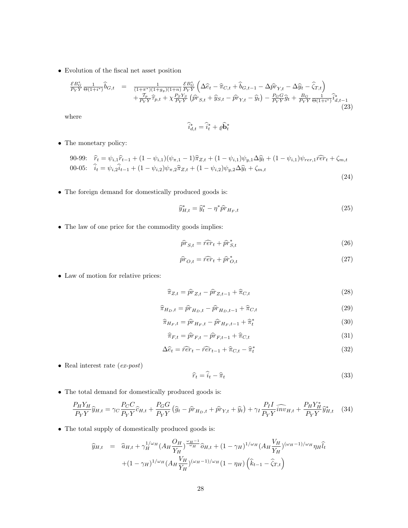• Evolution of the fiscal net asset position

$$
\frac{\mathcal{E}B_{G}^{*}}{P_{Y}Y} \frac{1}{\Theta(1+i^{*})} \hat{b}_{G,t} = \frac{1}{(1+\pi^{*})(1+g_{y})(1+n)} \frac{\mathcal{E}B_{G}^{*}}{P_{Y}Y} \left(\Delta \hat{e}_{t} - \hat{\pi}_{C,t} + \hat{b}_{G,t-1} - \Delta \hat{p}r_{Y,t} - \Delta \hat{y}_{t} - \hat{\zeta}_{T,t}\right) + \frac{T_{p}}{P_{Y}Y} \hat{\tau}_{p,t} + \chi \frac{P_{S}Y_{S}}{P_{Y}Y} \left(\hat{p}r_{S,t} + \hat{y}_{S,t} - \hat{p}r_{Y,t} - \hat{y}_{t}\right) - \frac{P_{G}G}{P_{Y}Y} \hat{g}_{t} + \frac{B_{G}}{P_{Y}Y} \frac{1}{\Theta(1+i^{*})} \hat{i}_{d,t-1}^{*} \tag{23}
$$

where

$$
\widehat{i}_{d,t}^* = \widehat{i}_t^* + \varrho \widehat{\mathbf{b}}_t^*
$$

• The monetary policy:

90-99: 
$$
\hat{r}_t = \psi_{i,1}\hat{r}_{t-1} + (1 - \psi_{i,1})(\psi_{\pi,1} - 1)\hat{\pi}_{Z,t} + (1 - \psi_{i,1})\psi_{y,1}\Delta\hat{y}_t + (1 - \psi_{i,1})\psi_{rer,1}\hat{r}\hat{e}\hat{r}_t + \zeta_{m,t}
$$
  
00-05: 
$$
\hat{i}_t = \psi_{i,2}\hat{i}_{t-1} + (1 - \psi_{i,2})\psi_{\pi,2}\hat{\pi}_{Z,t} + (1 - \psi_{i,2})\psi_{y,2}\Delta\hat{y}_t + \zeta_{m,t}
$$
\n(24)

• The foreign demand for domestically produced goods is:

$$
\widehat{y}_{H,t}^* = \widehat{y}_t^* - \eta^* \widehat{pr}_{H_F,t} \tag{25}
$$

• The law of one price for the commodity goods implies:

$$
\widehat{pr}_{S,t} = \widehat{rer}_t + \widehat{pr}_{S,t}^* \tag{26}
$$

$$
\hat{pr}_{O,t} = \hat{r}\hat{e}\hat{r}_t + \hat{pr}_{O,t}^* \tag{27}
$$

• Law of motion for relative prices:

$$
\widehat{\pi}_{Z,t} = \widehat{pr}_{Z,t} - \widehat{pr}_{Z,t-1} + \widehat{\pi}_{C,t}
$$
\n
$$
(28)
$$

$$
\widehat{\pi}_{H_D,t} = \widehat{pr}_{H_D,t} - \widehat{pr}_{H_D,t-1} + \widehat{\pi}_{C,t}
$$
\n(29)

$$
\widehat{\pi}_{H_F,t} = \widehat{pr}_{H_F,t} - \widehat{pr}_{H_F,t-1} + \widehat{\pi}_t^*
$$
\n(30)

$$
\widehat{\pi}_{F,t} = \widehat{pr}_{F,t} - \widehat{pr}_{F,t-1} + \widehat{\pi}_{C,t}
$$
\n(31)

$$
\Delta \hat{e}_t = \hat{r} \hat{e} \hat{r}_t - \hat{r} \hat{e} \hat{r}_{t-1} + \hat{\pi}_{C,t} - \hat{\pi}_t^* \tag{32}
$$

• Real interest rate (ex-post)

$$
\hat{r}_t = \hat{i}_t - \hat{\pi}_t \tag{33}
$$

• The total demand for domestically produced goods is:

$$
\frac{P_H Y_H}{P_Y Y} \widehat{y}_{H,t} = \gamma_C \frac{P_C C}{P_Y Y} \widehat{c}_{H,t} + \frac{P_G G}{P_Y Y} \left( \widehat{y}_t - \widehat{p} r_{H_D,t} + \widehat{p} r_{Y,t} + \widehat{y}_t \right) + \gamma_I \frac{P_I I}{P_Y Y} \widehat{inv}_{H,t} + \frac{P_H Y_H^*}{P_Y Y} \widehat{y}_{H,t}^* \tag{34}
$$

• The total supply of domestically produced goods is:

$$
\widehat{y}_{H,t} = \widehat{a}_{H,t} + \gamma_H^{1/\omega_H} (A_H \frac{O_H}{Y_H})^{\frac{\omega_H - 1}{\omega_H}} \widehat{o}_{H,t} + (1 - \gamma_H)^{1/\omega_H} (A_H \frac{V_H}{Y_H})^{(\omega_H - 1)/\omega_H} \eta_H \widehat{l}_t
$$
  
+ 
$$
(1 - \gamma_H)^{1/\omega_H} (A_H \frac{V_H}{Y_H})^{(\omega_H - 1)/\omega_H} (1 - \eta_H) (\widehat{k}_{t-1} - \widehat{\zeta}_{T,t})
$$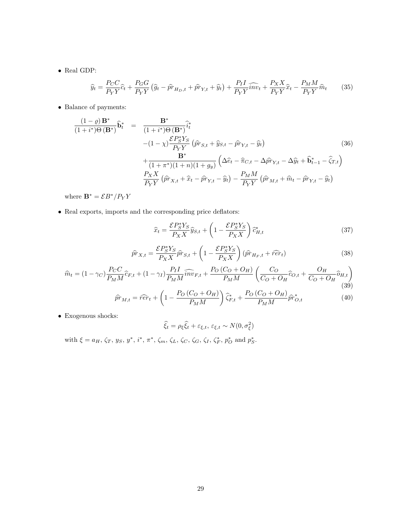$\bullet\,$  Real GDP:

$$
\widehat{y}_t = \frac{P_C C}{P_Y Y} \widehat{c}_t + \frac{P_G G}{P_Y Y} \left( \widehat{g}_t - \widehat{pr}_{H_D, t} + \widehat{pr}_{Y, t} + \widehat{y}_t \right) + \frac{P_I I}{P_Y Y} \widehat{inv}_t + \frac{P_X X}{P_Y Y} \widehat{x}_t - \frac{P_M M}{P_Y Y} \widehat{m}_t \tag{35}
$$

 $\bullet\,$  Balance of payments:

$$
\frac{(1-\varrho)\mathbf{B}^*}{(1+i^*)\Theta(\mathbf{B}^*)}\hat{\mathbf{b}}_t^* = \frac{\mathbf{B}^*}{(1+i^*)\Theta(\mathbf{B}^*)}\hat{i}_t^*
$$
\n
$$
-(1-\chi)\frac{\mathcal{E}P_S^*Y_S}{P_YY}(\hat{pr}_{S,t} + \hat{y}_{S,t} - \hat{pr}_{Y,t} - \hat{y}_t)
$$
\n
$$
+\frac{\mathbf{B}^*}{(1+\pi^*)(1+n)(1+g_y)}\left(\Delta\hat{e}_t - \hat{\pi}_{C,t} - \Delta\hat{pr}_{Y,t} - \Delta\hat{y}_t + \hat{\mathbf{b}}_{t-1}^* - \hat{\zeta}_{T,t}\right)
$$
\n
$$
\frac{P_XX}{P_YY}(\hat{pr}_{X,t} + \hat{x}_t - \hat{pr}_{Y,t} - \hat{y}_t) - \frac{P_MM}{P_YY}(\hat{pr}_{M,t} + \hat{m}_t - \hat{pr}_{Y,t} - \hat{y}_t)
$$
\n(36)

where  $\mathbf{B}^* = \mathcal{E} B^* / P_Y Y$ 

 $\bullet\,$  Real exports, imports and the corresponding price deflators:

$$
\widehat{x}_t = \frac{\mathcal{E}P_S^*Y_S}{P_XX}\widehat{y}_{S,t} + \left(1 - \frac{\mathcal{E}P_S^*Y_S}{P_XX}\right)\widehat{c}_{H,t}^* \tag{37}
$$

$$
\widehat{pr}_{X,t} = \frac{\mathcal{E}P_S^*Y_S}{P_XX}\widehat{pr}_{S,t} + \left(1 - \frac{\mathcal{E}P_S^*Y_S}{P_XX}\right)(\widehat{pr}_{H_F,t} + \widehat{r}\widehat{er}_t)
$$
\n(38)

$$
\widehat{m}_t = (1 - \gamma_C) \frac{P_C C}{P_M M} \widehat{c}_{F,t} + (1 - \gamma_I) \frac{P_I I}{P_M M} \widehat{inv}_{F,t} + \frac{P_O (C_O + O_H)}{P_M M} \left( \frac{C_O}{C_O + O_H} \widehat{c}_{O,t} + \frac{O_H}{C_O + O_H} \widehat{o}_{H,t} \right)
$$
\n
$$
\widehat{pr}_{M,t} = \widehat{r} \widehat{e} r_t + \left( 1 - \frac{P_O (C_O + O_H)}{P_M M} \right) \widehat{\zeta}^*_{F,t} + \frac{P_O (C_O + O_H)}{P_M M} \widehat{pr}^*_{O,t}
$$
\n
$$
\tag{40}
$$

• Exogenous shocks:

$$
\widehat{\xi}_t = \rho_{\xi} \widehat{\xi}_t + \varepsilon_{\xi,t}, \, \varepsilon_{\xi,t} \sim N(0, \sigma_{\xi}^2)
$$

with  $\xi = a_H, \zeta_T, y_S, y^*, i^*, \pi^*, \zeta_m, \zeta_L, \zeta_C, \zeta_G, \zeta_I, \zeta_F^*, p_O^*$  and  $p_S^*$ .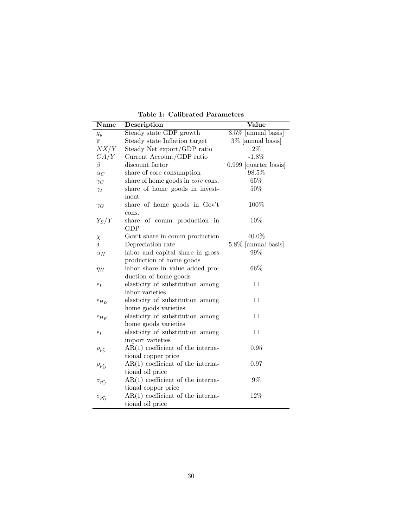| <b>Name</b>               | Description                              | Value                   |
|---------------------------|------------------------------------------|-------------------------|
| $g_y$                     | Steady state GDP growth                  | $3.5\%$ [annual basis]  |
| $\overline{\pi}$          | Steady state Inflation target            | 3% [annual basis]       |
| NX/Y                      | Steady Net export/GDP ratio              | $2\%$                   |
| CA/Y                      | Current Account/GDP ratio                | $-1.8\%$                |
| $\beta$                   | discount factor                          | $0.999$ [quarter basis] |
| $\alpha_C$                | share of core consumption                | 98.5%                   |
| $\gamma_C$                | share of home goods in <i>core</i> cons. | $65\%$                  |
| $\gamma_I$                | share of home goods in invest-           | $50\%$                  |
|                           | ment                                     |                         |
| $\gamma_G$                | share of home goods in Gov't             | 100%                    |
|                           | cons.                                    |                         |
| $Y_S/Y$                   | share of comm production in              | 10%                     |
|                           | <b>GDP</b>                               |                         |
| $\underset{\delta}{\chi}$ | Gov't share in comm production           | 40.0%                   |
|                           | Depreciation rate                        | 5.8% [annual basis]     |
| $\alpha$ <sub>H</sub>     | labor and capital share in gross         | 99%                     |
|                           | production of home goods                 |                         |
| $\eta_H$                  | labor share in value added pro-          | 66%                     |
|                           | duction of home goods                    |                         |
| $\epsilon_L$              | elasticity of substitution among         | 11                      |
|                           | labor varieties                          |                         |
| $\epsilon_{H_D}$          | elasticity of substitution among         | 11                      |
|                           | home goods varieties                     |                         |
| $\epsilon_{H_F}$          | elasticity of substitution among         | 11                      |
|                           | home goods varieties                     |                         |
| $\epsilon_L$              | elasticity of substitution among         | 11                      |
|                           | import varieties                         |                         |
| $\rho_{p^*_S}$            | $AR(1)$ coefficient of the interna-      | 0.95                    |
|                           | tional copper price                      |                         |
| $\rho_{p_O^*}$            | $AR(1)$ coefficient of the interna-      | 0.97                    |
|                           | tional oil price                         |                         |
| $\sigma_{p^*_S}$          | $AR(1)$ coefficient of the interna-      | 9%                      |
|                           | tional copper price                      |                         |
| $\sigma_{p_O^*}$          | $AR(1)$ coefficient of the interna-      | 12%                     |
|                           | tional oil price                         |                         |

**Table 1: Calibrated Parameters**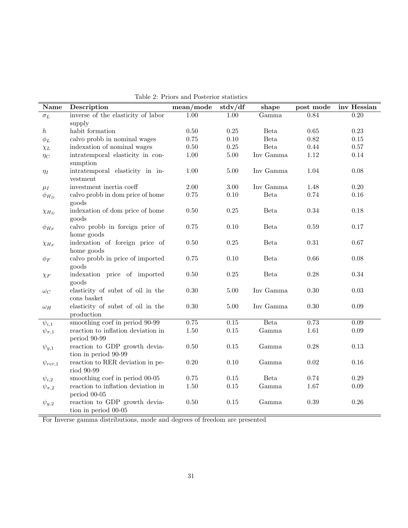| <b>Name</b>      | Description                                           | mean/mode         | stdv/df           | shape       | post mode | inv Hessian |
|------------------|-------------------------------------------------------|-------------------|-------------------|-------------|-----------|-------------|
| $\sigma_L$       | inverse of the elasticity of labor                    | $\overline{1.00}$ | $\overline{1.00}$ | Gamma       | 0.84      | 0.20        |
|                  | supply                                                |                   |                   |             |           |             |
| $\boldsymbol{h}$ | habit formation                                       | 0.50              | 0.25              | Beta        | 0.65      | 0.23        |
| $\phi_L$         | calvo probb in nominal wages                          | 0.75              | 0.10              | Beta        | 0.82      | $0.15\,$    |
| $\chi_L$         | indexation of nominal wages                           | 0.50              | $0.25\,$          | <b>Beta</b> | 0.44      | $0.57\,$    |
| $\eta_C$         | intratemporal elasticity in con-<br>sumption          | 1.00              | $5.00\,$          | Inv Gamma   | 1.12      | $0.14\,$    |
| $\eta_I$         | intratemporal elasticity in in-<br>vestment           | 1.00              | $5.00\,$          | Inv Gamma   | 1.04      | 0.08        |
| $\mu_I$          | investment inertia coeff                              | 2.00              | $3.00\,$          | Inv Gamma   | 1.48      | 0.20        |
| $\phi_{H_D}$     | calvo probb in dom price of home<br>goods             | 0.75              | 0.10              | <b>Beta</b> | 0.74      | 0.16        |
| $\chi_{H_D}$     | indexation of dom price of home<br>goods              | 0.50              | 0.25              | <b>Beta</b> | 0.34      | 0.18        |
| $\phi_{H_F}$     | calvo probb in foreign price of<br>home goods         | 0.75              | 0.10              | <b>Beta</b> | 0.59      | 0.17        |
| $\chi_{H_F}$     | indexation of foreign price of<br>home goods          | 0.50              | $0.25\,$          | <b>Beta</b> | 0.31      | 0.67        |
| $\phi_F$         | calvo probb in price of imported<br>goods             | 0.75              | 0.10              | <b>Beta</b> | 0.66      | 0.08        |
| $\chi_F$         | indexation price of imported<br>goods                 | 0.50              | $0.25\,$          | <b>Beta</b> | 0.28      | 0.34        |
| $\omega_C$       | elasticity of subst of oil in the<br>$\cos$ basket    | 0.30              | $5.00\,$          | Inv Gamma   | 0.30      | 0.03        |
| $\omega_H$       | elasticity of subst of oil in the<br>production       | 0.30              | 5.00              | Inv Gamma   | 0.30      | 0.09        |
| $\psi_{i,1}$     | smoothing coef in period 90-99                        | 0.75              | 0.15              | <b>Beta</b> | 0.73      | 0.09        |
| $\psi_{\pi,1}$   | reaction to inflation deviation in<br>period 90-99    | 1.50              | $0.15\,$          | Gamma       | 1.61      | $0.09\,$    |
| $\psi_{y,1}$     | reaction to GDP growth devia-<br>tion in period 90-99 | 0.50              | 0.15              | Gamma       | 0.28      | $0.13\,$    |
| $\psi_{rer,1}$   | reaction to RER deviation in pe-<br>riod 90-99        | 0.20              | 0.10              | Gamma       | 0.02      | 0.16        |
| $\psi_{i,2}$     | smoothing coef in period 00-05                        | 0.75              | $0.15\,$          | Beta        | 0.74      | 0.29        |
| $\psi_{\pi,2}$   | reaction to inflation deviation in<br>period 00-05    | 1.50              | $0.15\,$          | Gamma       | 1.67      | 0.09        |
| $\psi_{y,2}$     | reaction to GDP growth devia-<br>tion in period 00-05 | 0.50              | $0.15\,$          | Gamma       | 0.39      | 0.26        |

Table 2: Priors and Posterior statistics

For Inverse gamma distributions, mode and degrees of freedom are presented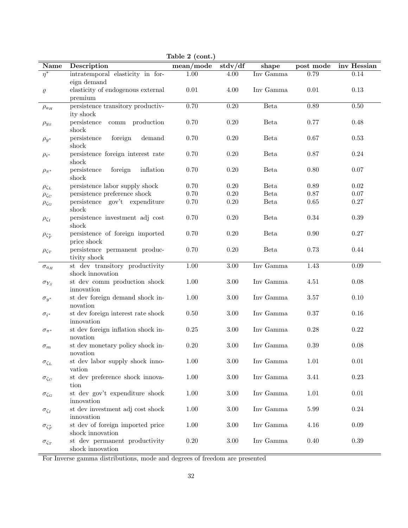| <b>Name</b>          | Description                                        | mean/mode         | stdv/df  | shape                                                     | post mode | inv Hessian       |
|----------------------|----------------------------------------------------|-------------------|----------|-----------------------------------------------------------|-----------|-------------------|
| $\eta^*$             | intratemporal elasticity in for-                   | $\overline{1.00}$ | 4.00     | Inv Gamma                                                 | 0.79      | 0.14              |
|                      | eign demand                                        |                   |          |                                                           |           |                   |
| $\varrho$            | elasticity of endogenous external                  | 0.01              | 4.00     | Inv Gamma                                                 | $0.01\,$  | 0.13              |
|                      | premium                                            |                   |          |                                                           |           |                   |
| $\rho_{a_H}$         | persistence transitory productiv-                  | 0.70              | 0.20     | <b>Beta</b>                                               | 0.89      | $\overline{0.50}$ |
|                      | ity shock                                          |                   |          |                                                           |           |                   |
| $\rho_{y_S}$         | persistence comm production                        | 0.70              | 0.20     | <b>Beta</b>                                               | 0.77      | 0.48              |
|                      | shock                                              |                   |          |                                                           |           |                   |
| $\rho_{y^*}$         | persistence<br>foreign<br>demand<br>shock          | 0.70              | 0.20     | <b>Beta</b>                                               | 0.67      | 0.53              |
|                      | persistence foreign interest rate                  | 0.70              | 0.20     | <b>Beta</b>                                               | 0.87      | 0.24              |
| $\rho_{i^*}$         | shock                                              |                   |          |                                                           |           |                   |
| $\rho_{\pi^*}$       | foreign<br>inflation<br>persistence                | 0.70              | 0.20     | <b>Beta</b>                                               | 0.80      | 0.07              |
|                      | shock                                              |                   |          |                                                           |           |                   |
| $\rho_{\zeta_L}$     | persistence labor supply shock                     | 0.70              | 0.20     | <b>Beta</b>                                               | 0.89      | $\,0.02$          |
| $\rho_{\zeta_C}$     | persistence preference shock                       | 0.70              | 0.20     | <b>Beta</b>                                               | 0.87      | $0.07\,$          |
| $\rho_{\zeta_G}$     | persistence gov't expenditure                      | 0.70              | 0.20     | <b>Beta</b>                                               | 0.65      | 0.27              |
|                      | shock                                              |                   |          |                                                           |           |                   |
| $\rho_{\zeta_I}$     | persistence investment adj cost                    | 0.70              | 0.20     | <b>Beta</b>                                               | 0.34      | 0.39              |
|                      | shock                                              |                   |          |                                                           |           |                   |
| $\rho_{\zeta_F^*}$   | persistence of foreign imported                    | 0.70              | 0.20     | <b>Beta</b>                                               | 0.90      | 0.27              |
|                      | price shock                                        |                   |          |                                                           |           |                   |
| $\rho_{\zeta_T}$     | persistence permanent produc-                      | 0.70              | 0.20     | <b>Beta</b>                                               | 0.73      | 0.44              |
|                      | tivity shock                                       |                   |          |                                                           |           |                   |
| $\sigma_{a_H}$       | st dev transitory productivity<br>shock innovation | 1.00              | 3.00     | Inv Gamma                                                 | 1.43      | 0.09              |
|                      | st dev comm production shock                       | 1.00              | $3.00\,$ | Inv Gamma                                                 | 4.51      | 0.08              |
| $\sigma_{Y_S}$       | innovation                                         |                   |          |                                                           |           |                   |
| $\sigma_{y^*}$       | st dev foreign demand shock in-                    | 1.00              | $3.00\,$ | Inv Gamma                                                 | $3.57\,$  | 0.10              |
|                      | novation                                           |                   |          |                                                           |           |                   |
| $\sigma_{i^*}$       | st dev foreign interest rate shock                 | $0.50\,$          | $3.00\,$ | Inv Gamma                                                 | 0.37      | 0.16              |
|                      | innovation                                         |                   |          |                                                           |           |                   |
| $\sigma_{\pi^*}$     | st dev foreign inflation shock in-                 | $0.25\,$          | $3.00\,$ | Inv Gamma                                                 | 0.28      | 0.22              |
|                      | novation                                           |                   |          |                                                           |           |                   |
| $\sigma_m$           | st dev monetary policy shock in-                   | 0.20              | 3.00     | Inv Gamma                                                 | 0.39      | 0.08              |
|                      | novation                                           |                   |          |                                                           |           |                   |
| $\sigma_{\zeta_L}$   | st dev labor supply shock inno-                    | $1.00\,$          | $3.00\,$ | Inv Gamma                                                 | $1.01\,$  | $0.01\,$          |
|                      | vation                                             |                   |          |                                                           |           |                   |
| $\sigma_{\zeta_C}$   | st dev preference shock innova-<br>tion            | 1.00              | $3.00\,$ | Inv Gamma                                                 | $3.41\,$  | 0.23              |
|                      | st dev gov't expenditure shock                     | 1.00              | $3.00\,$ | Inv Gamma                                                 | $1.01\,$  | $0.01\,$          |
| $\sigma_{\zeta_G}$   | innovation                                         |                   |          |                                                           |           |                   |
| $\sigma_{\zeta_I}$   | st dev investment adj cost shock                   | 1.00              | $3.00\,$ | Inv Gamma                                                 | 5.99      | $0.24\,$          |
|                      | innovation                                         |                   |          |                                                           |           |                   |
| $\sigma_{\zeta_F^*}$ | st dev of foreign imported price                   | 1.00              | $3.00\,$ | $\mathop{\rm Inv}\nolimits\, \mathop{\rm Gamma}\nolimits$ | 4.16      | $0.09\,$          |
|                      | shock innovation                                   |                   |          |                                                           |           |                   |
| $\sigma_{\zeta_T}$   | st dev permanent productivity                      | $0.20\,$          | $3.00\,$ | Inv Gamma                                                 | 0.40      | $0.39\,$          |
|                      | shock innovation                                   |                   |          |                                                           |           |                   |

**Table 2 (cont.)**

For Inverse gamma distributions, mode and degrees of freedom are presented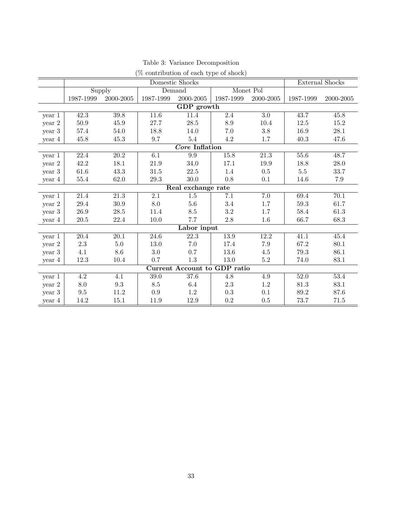| (% contribution of each type of shock) |                       |                   |           |                                |                  |                   |                        |           |
|----------------------------------------|-----------------------|-------------------|-----------|--------------------------------|------------------|-------------------|------------------------|-----------|
|                                        | Domestic Shocks       |                   |           |                                |                  |                   | <b>External Shocks</b> |           |
|                                        |                       | Supply            |           | Demand                         | Monet Pol        |                   |                        |           |
|                                        | 1987-1999             | 2000-2005         | 1987-1999 | 2000-2005                      | 1987-1999        | 2000-2005         | 1987-1999              | 2000-2005 |
|                                        |                       |                   |           | $\overline{\text{GDP}}$ growth |                  |                   |                        |           |
| year 1                                 | 42.3                  | 39.8              | 11.6      | 11.4                           | $\overline{2.4}$ | $\overline{3.0}$  | 43.7                   | 45.8      |
| year 2                                 | 50.9                  | 45.9              | 27.7      | 28.5                           | 8.9              | 10.4              | 12.5                   | 15.2      |
| year 3                                 | 57.4                  | 54.0              | 18.8      | 14.0                           | 7.0              | $3.8\,$           | 16.9                   | 28.1      |
| year 4                                 | 45.8                  | 45.3              | 9.7       | $5.4\,$                        | 4.2              | 1.7               | 40.3                   | 47.6      |
|                                        | <b>Core</b> Inflation |                   |           |                                |                  |                   |                        |           |
| year 1                                 | 22.4                  | $\overline{20.2}$ | 6.1       | 9.9                            | 15.8             | $21.\overline{3}$ | 55.6                   | 48.7      |
| year $2\,$                             | 42.2                  | 18.1              | 21.9      | 34.0                           | 17.1             | 19.9              | 18.8                   | $28.0\,$  |
| year 3                                 | 61.6                  | 43.3              | 31.5      | 22.5                           | 1.4              | 0.5               | 5.5                    | 33.7      |
| year 4                                 | 55.4                  | 62.0              | 29.3      | 30.0                           | 0.8              | 0.1               | 14.6                   | 7.9       |
|                                        |                       |                   |           | Real exchange rate             |                  |                   |                        |           |
| year 1                                 | 21.4                  | 21.3              | 2.1       | $1.5\,$                        | 7.1              | 7.0               | 69.4                   | 70.1      |
| year 2                                 | 29.4                  | $30.9\,$          | 8.0       | $5.6\,$                        | 3.4              | 1.7               | 59.3                   | 61.7      |
| year 3                                 | 26.9                  | 28.5              | 11.4      | 8.5                            | 3.2              | 1.7               | 58.4                   | 61.3      |
| year 4                                 | 20.5                  | 22.4              | $10.0$    | 7.7                            | 2.8              | 1.6               | 66.7                   | 68.3      |
|                                        |                       |                   |           | Labor input                    |                  |                   |                        |           |
| year 1                                 | $\overline{20.4}$     | 20.1              | 24.6      | 22.3                           | 13.9             | 12.2              | 41.1                   | 45.4      |
| year 2                                 | 2.3                   | $5.0\,$           | 13.0      | $7.0\,$                        | 17.4             | 7.9               | 67.2                   | 80.1      |
| year 3                                 | 4.1                   | $8.6\,$           | 3.0       | 0.7                            | 13.6             | $4.5\,$           | 79.3                   | 86.1      |
| year 4                                 | 12.3                  | 10.4              | 0.7       | 1.3                            | 13.0             | $5.2\,$           | 74.0                   | 83.1      |
| <b>Current Account to GDP ratio</b>    |                       |                   |           |                                |                  |                   |                        |           |
| year 1                                 | $\overline{4.2}$      | 4.1               | 39.0      | 37.6                           | $\overline{4.8}$ | $4.9\,$           | 52.0                   | 53.4      |
| year 2                                 | 8.0                   | 9.3               | 8.5       | 6.4                            | 2.3              | 1.2               | 81.3                   | 83.1      |
| year 3                                 | $\,9.5$               | 11.2              | 0.9       | 1.2                            | 0.3              | 0.1               | 89.2                   | $87.6\,$  |
| year 4                                 | 14.2                  | 15.1              | 11.9      | 12.9                           | 0.2              | 0.5               | 73.7                   | 71.5      |

## Table 3: Variance Decomposition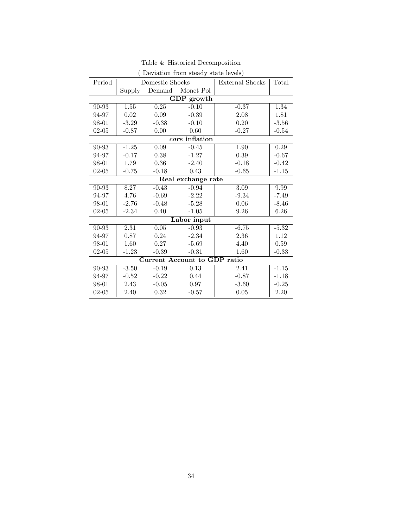| Deviation from steady state levels) |                   |         |                 |         |          |  |
|-------------------------------------|-------------------|---------|-----------------|---------|----------|--|
| Period                              | Domestic Shocks   |         | External Shocks | Total   |          |  |
|                                     | Supply            | Demand  | Monet Pol       |         |          |  |
|                                     |                   |         | GDP growth      |         |          |  |
| 90-93                               | $\overline{1.55}$ | 0.25    | $-0.10$         | $-0.37$ | 1.34     |  |
| 94-97                               | 0.02              | 0.09    | $-0.39$         | 2.08    | 1.81     |  |
| 98-01                               | $-3.29$           | $-0.38$ | $-0.10$         | 0.20    | $-3.56$  |  |
| $02 - 05$                           | $-0.87$           | 0.00    | 0.60            | $-0.27$ | $-0.54$  |  |
|                                     |                   |         | core inflation  |         |          |  |
| 90-93                               | $-1.25$           | 0.09    | $-0.45$         | 1.90    | $0.29\,$ |  |
| 94-97                               | $-0.17$           | 0.38    | $-1.27$         | 0.39    | $-0.67$  |  |
| 98-01                               | 1.79              | 0.36    | $-2.40$         | $-0.18$ | $-0.42$  |  |
| $02 - 05$                           | $-0.75$           | $-0.18$ | 0.43            | $-0.65$ | $-1.15$  |  |
| Real exchange rate                  |                   |         |                 |         |          |  |
| 90-93                               | 8.27              | $-0.43$ | $-0.94$         | 3.09    | 9.99     |  |
| 94-97                               | 4.76              | $-0.69$ | $-2.22$         | $-9.34$ | $-7.49$  |  |
| 98-01                               | $-2.76$           | $-0.48$ | $-5.28$         | 0.06    | $-8.46$  |  |
| $02 - 05$                           | $-2.34$           | 0.40    | $-1.05$         | 9.26    | 6.26     |  |
|                                     |                   |         | Labor input     |         |          |  |
| $90 - 93$                           | 2.31              | 0.05    | $-0.93$         | $-6.75$ | $-5.32$  |  |
| 94-97                               | 0.87              | 0.24    | $-2.34$         | 2.36    | 1.12     |  |
| 98-01                               | 1.60              | 0.27    | $-5.69$         | 4.40    | 0.59     |  |
| $02 - 05$                           | $-1.23$           | $-0.39$ | $-0.31$         | 1.60    | $-0.33$  |  |
| <b>Current Account to GDP ratio</b> |                   |         |                 |         |          |  |
| 90-93                               | $-3.50$           | $-0.19$ | 0.13            | 2.41    | $-1.15$  |  |
| 94-97                               | $-0.52$           | $-0.22$ | 0.44            | $-0.87$ | $-1.18$  |  |
| 98-01                               | 2.43              | $-0.05$ | 0.97            | $-3.60$ | $-0.25$  |  |
| $02 - 05$                           | 2.40              | 0.32    | $-0.57$         | 0.05    | 2.20     |  |

Table 4: Historical Decomposition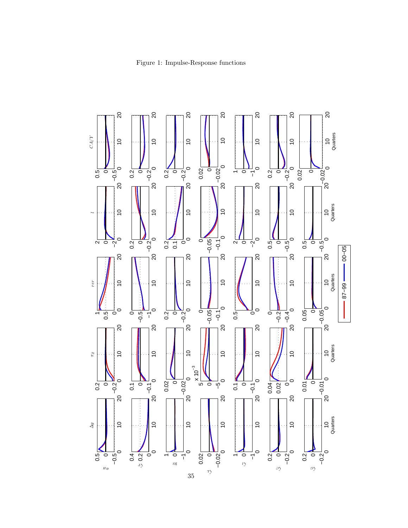Figure 1: Impulse-Response functions

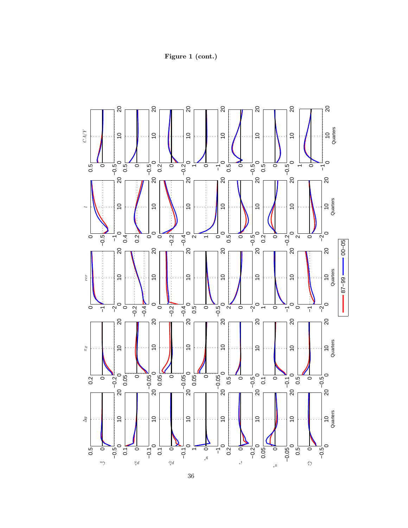**Figure 1 (cont.)**



36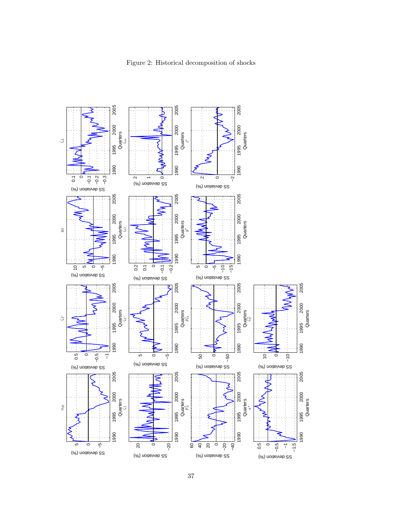

Figure 2: Historical decomposition of shocks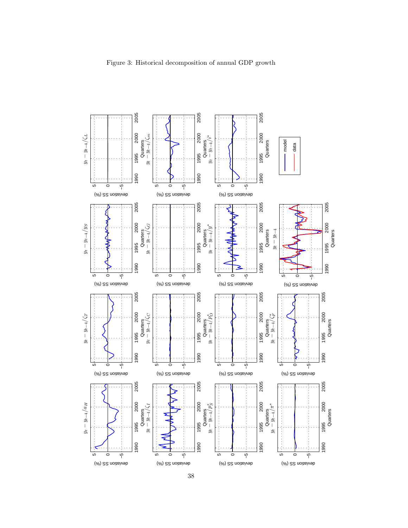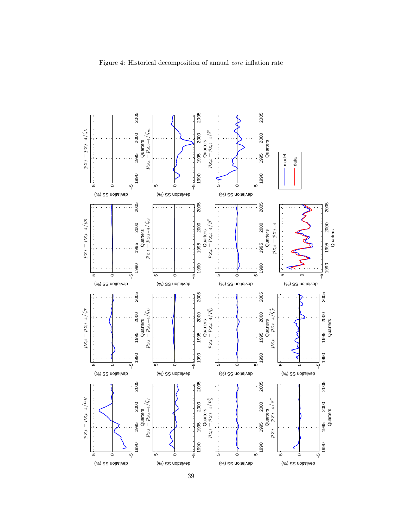

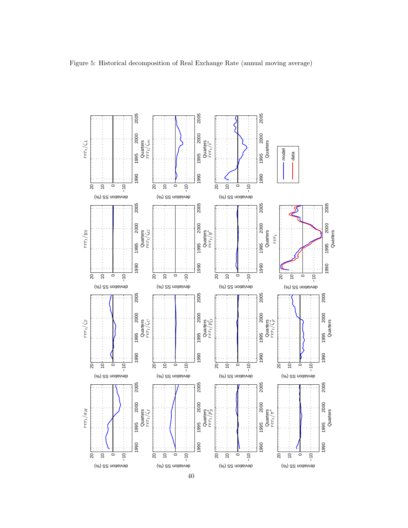



40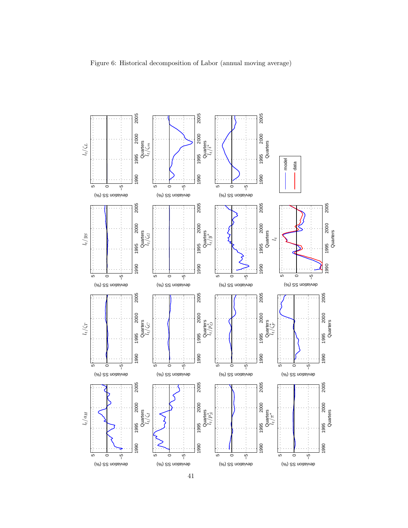Figure 6: Historical decomposition of Labor (annual moving average)



41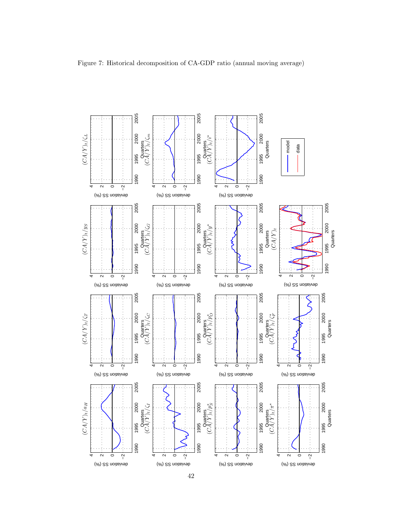



42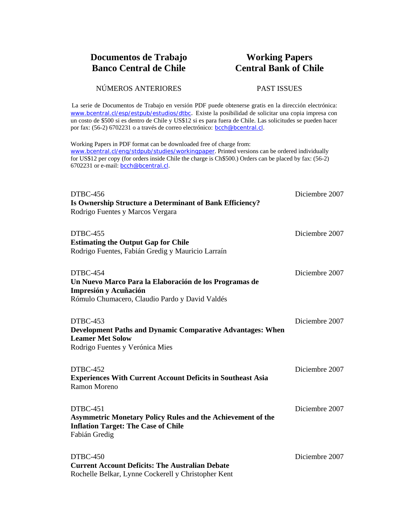## **Documentos de Trabajo Banco Central de Chile**

## **Working Papers Central Bank of Chile**

## NÚMEROS ANTERIORES PAST ISSUES

La serie de Documentos de Trabajo en versión PDF puede obtenerse gratis en la dirección electrónica: www.bcentral.cl/esp/estpub/estudios/dtbc. Existe la posibilidad de solicitar una copia impresa con un costo de \$500 si es dentro de Chile y US\$12 si es para fuera de Chile. Las solicitudes se pueden hacer por fax: (56-2) 6702231 o a través de correo electrónico: **bcch@bcentral.cl.** 

Working Papers in PDF format can be downloaded free of charge from: www.bcentral.cl/eng/stdpub/studies/workingpaper. Printed versions can be ordered individually for US\$12 per copy (for orders inside Chile the charge is Ch\$500.) Orders can be placed by fax: (56-2) 6702231 or e-mail: bcch@bcentral.cl.

| DTBC-456<br>Is Ownership Structure a Determinant of Bank Efficiency?<br>Rodrigo Fuentes y Marcos Vergara                                             | Diciembre 2007 |
|------------------------------------------------------------------------------------------------------------------------------------------------------|----------------|
| DTBC-455<br><b>Estimating the Output Gap for Chile</b><br>Rodrigo Fuentes, Fabián Gredig y Mauricio Larraín                                          | Diciembre 2007 |
| DTBC-454<br>Un Nuevo Marco Para la Elaboración de los Programas de<br><b>Impresión y Acuñación</b><br>Rómulo Chumacero, Claudio Pardo y David Valdés | Diciembre 2007 |
| DTBC-453<br><b>Development Paths and Dynamic Comparative Advantages: When</b><br><b>Leamer Met Solow</b><br>Rodrigo Fuentes y Verónica Mies          | Diciembre 2007 |
| DTBC-452<br><b>Experiences With Current Account Deficits in Southeast Asia</b><br><b>Ramon Moreno</b>                                                | Diciembre 2007 |
| DTBC-451<br><b>Asymmetric Monetary Policy Rules and the Achievement of the</b><br><b>Inflation Target: The Case of Chile</b><br>Fabián Gredig        | Diciembre 2007 |
| DTBC-450<br><b>Current Account Deficits: The Australian Debate</b><br>Rochelle Belkar, Lynne Cockerell y Christopher Kent                            | Diciembre 2007 |